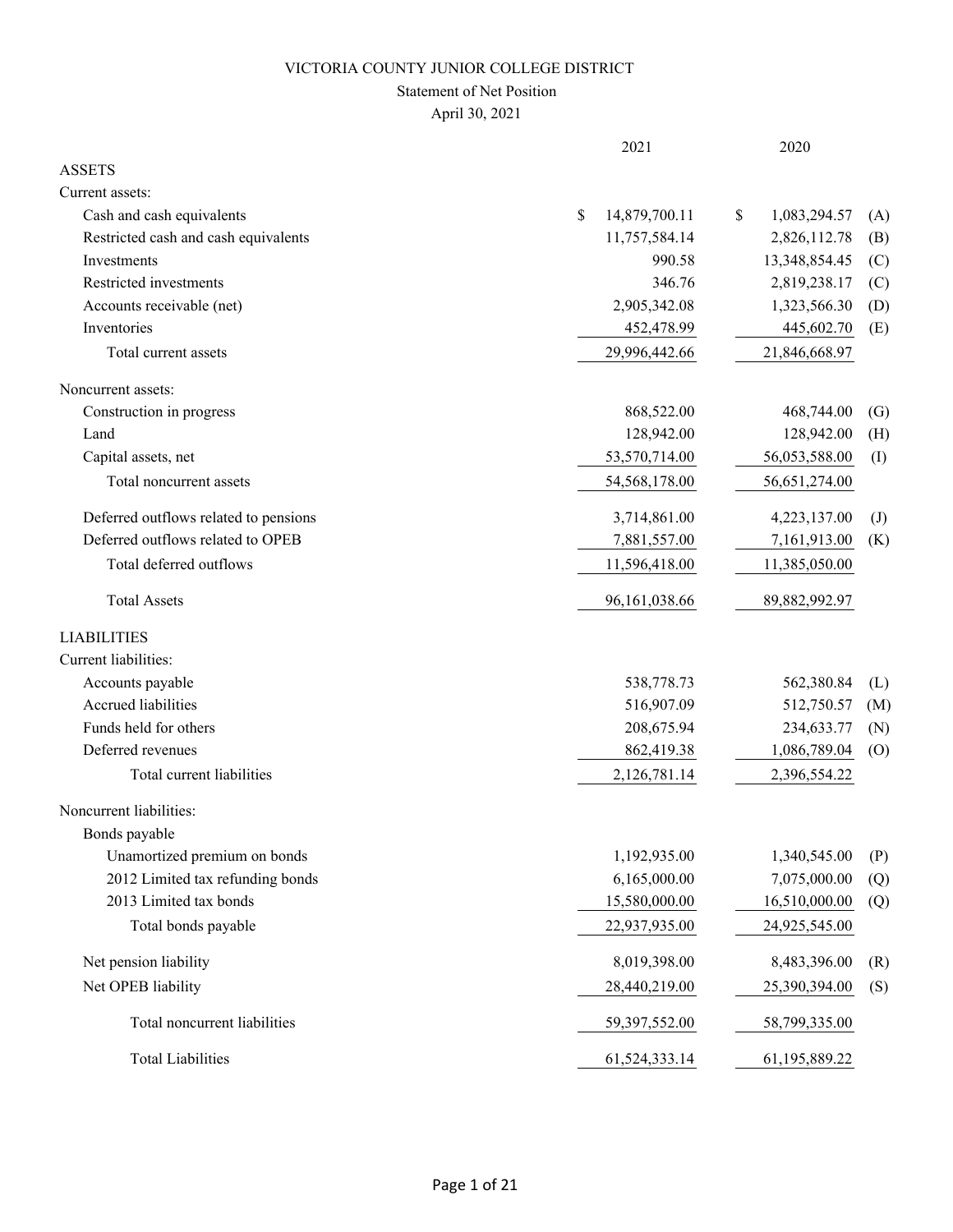### Statement of Net Position

|                                       | 2021                | 2020               |                   |
|---------------------------------------|---------------------|--------------------|-------------------|
| <b>ASSETS</b>                         |                     |                    |                   |
| Current assets:                       |                     |                    |                   |
| Cash and cash equivalents             | \$<br>14,879,700.11 | 1,083,294.57<br>\$ | (A)               |
| Restricted cash and cash equivalents  | 11,757,584.14       | 2,826,112.78       | (B)               |
| Investments                           | 990.58              | 13,348,854.45      | (C)               |
| Restricted investments                | 346.76              | 2,819,238.17       | (C)               |
| Accounts receivable (net)             | 2,905,342.08        | 1,323,566.30       | (D)               |
| Inventories                           | 452,478.99          | 445,602.70         | (E)               |
| Total current assets                  | 29,996,442.66       | 21,846,668.97      |                   |
| Noncurrent assets:                    |                     |                    |                   |
| Construction in progress              | 868,522.00          | 468,744.00         | $\left( G\right)$ |
| Land                                  | 128,942.00          | 128,942.00         | (H)               |
| Capital assets, net                   | 53,570,714.00       | 56,053,588.00      | (I)               |
| Total noncurrent assets               | 54,568,178.00       | 56,651,274.00      |                   |
| Deferred outflows related to pensions | 3,714,861.00        | 4,223,137.00       | $\mathrm{J}$      |
| Deferred outflows related to OPEB     | 7,881,557.00        | 7,161,913.00       | (K)               |
| Total deferred outflows               | 11,596,418.00       | 11,385,050.00      |                   |
| <b>Total Assets</b>                   | 96,161,038.66       | 89,882,992.97      |                   |
| <b>LIABILITIES</b>                    |                     |                    |                   |
| Current liabilities:                  |                     |                    |                   |
| Accounts payable                      | 538,778.73          | 562,380.84         | (L)               |
| Accrued liabilities                   | 516,907.09          | 512,750.57         | (M)               |
| Funds held for others                 | 208,675.94          | 234,633.77         | (N)               |
| Deferred revenues                     | 862,419.38          | 1,086,789.04       | (0)               |
| Total current liabilities             | 2,126,781.14        | 2,396,554.22       |                   |
| Noncurrent liabilities:               |                     |                    |                   |
| Bonds payable                         |                     |                    |                   |
| Unamortized premium on bonds          | 1,192,935.00        | 1,340,545.00       | (P)               |
| 2012 Limited tax refunding bonds      | 6,165,000.00        | 7,075,000.00       | (Q)               |
| 2013 Limited tax bonds                | 15,580,000.00       | 16,510,000.00      | (Q)               |
| Total bonds payable                   | 22,937,935.00       | 24,925,545.00      |                   |
| Net pension liability                 | 8,019,398.00        | 8,483,396.00       | (R)               |
| Net OPEB liability                    | 28,440,219.00       | 25,390,394.00      | (S)               |
| Total noncurrent liabilities          | 59,397,552.00       | 58,799,335.00      |                   |
| <b>Total Liabilities</b>              | 61,524,333.14       | 61,195,889.22      |                   |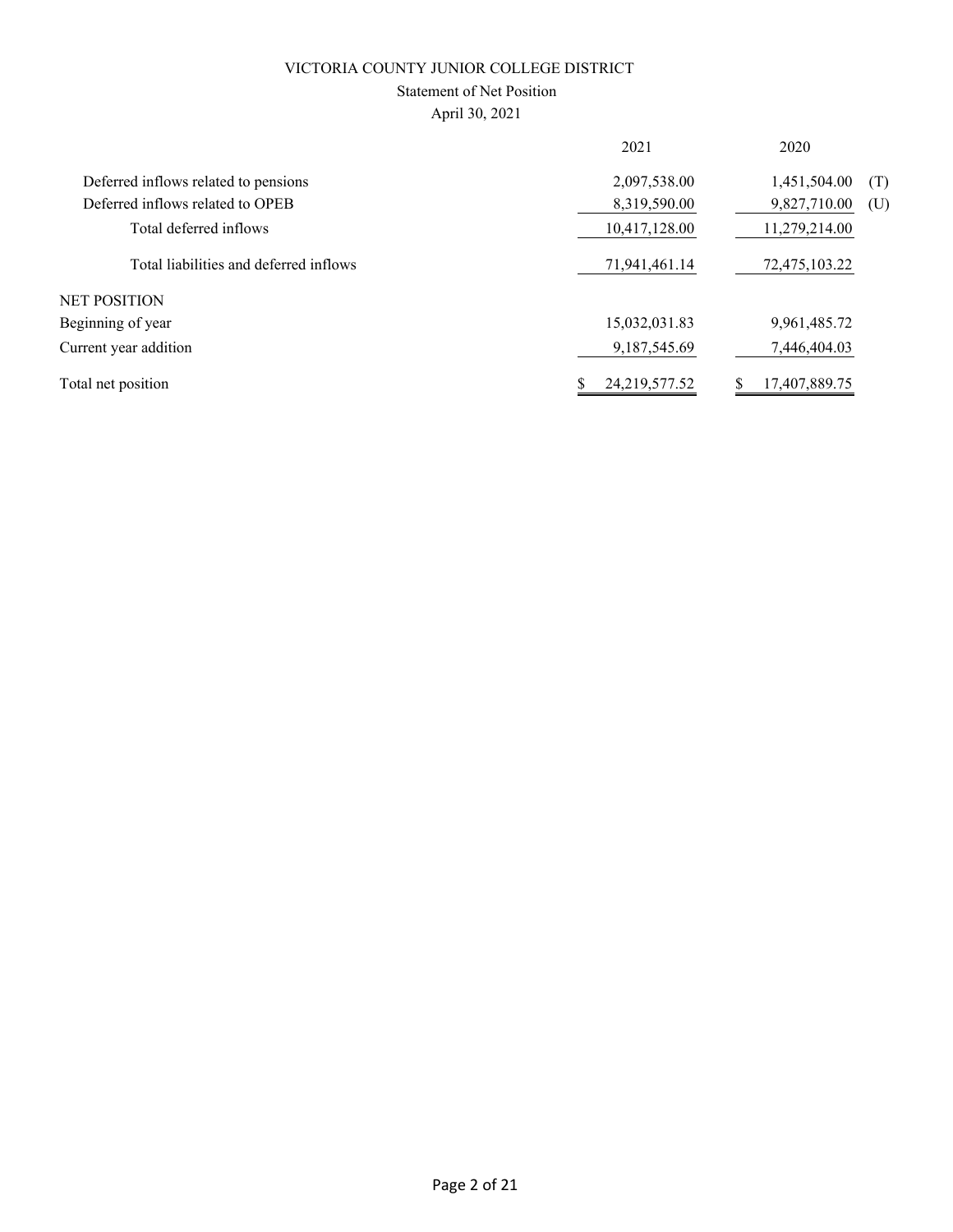## Statement of Net Position

|                                        | 2021          | 2020                |
|----------------------------------------|---------------|---------------------|
| Deferred inflows related to pensions   | 2,097,538.00  | 1,451,504.00<br>(T) |
| Deferred inflows related to OPEB       | 8,319,590.00  | 9,827,710.00<br>(U) |
| Total deferred inflows                 | 10,417,128.00 | 11,279,214.00       |
| Total liabilities and deferred inflows | 71,941,461.14 | 72,475,103.22       |
| <b>NET POSITION</b>                    |               |                     |
| Beginning of year                      | 15,032,031.83 | 9,961,485.72        |
| Current year addition                  | 9,187,545.69  | 7,446,404.03        |
| Total net position                     | 24,219,577.52 | 17,407,889.75       |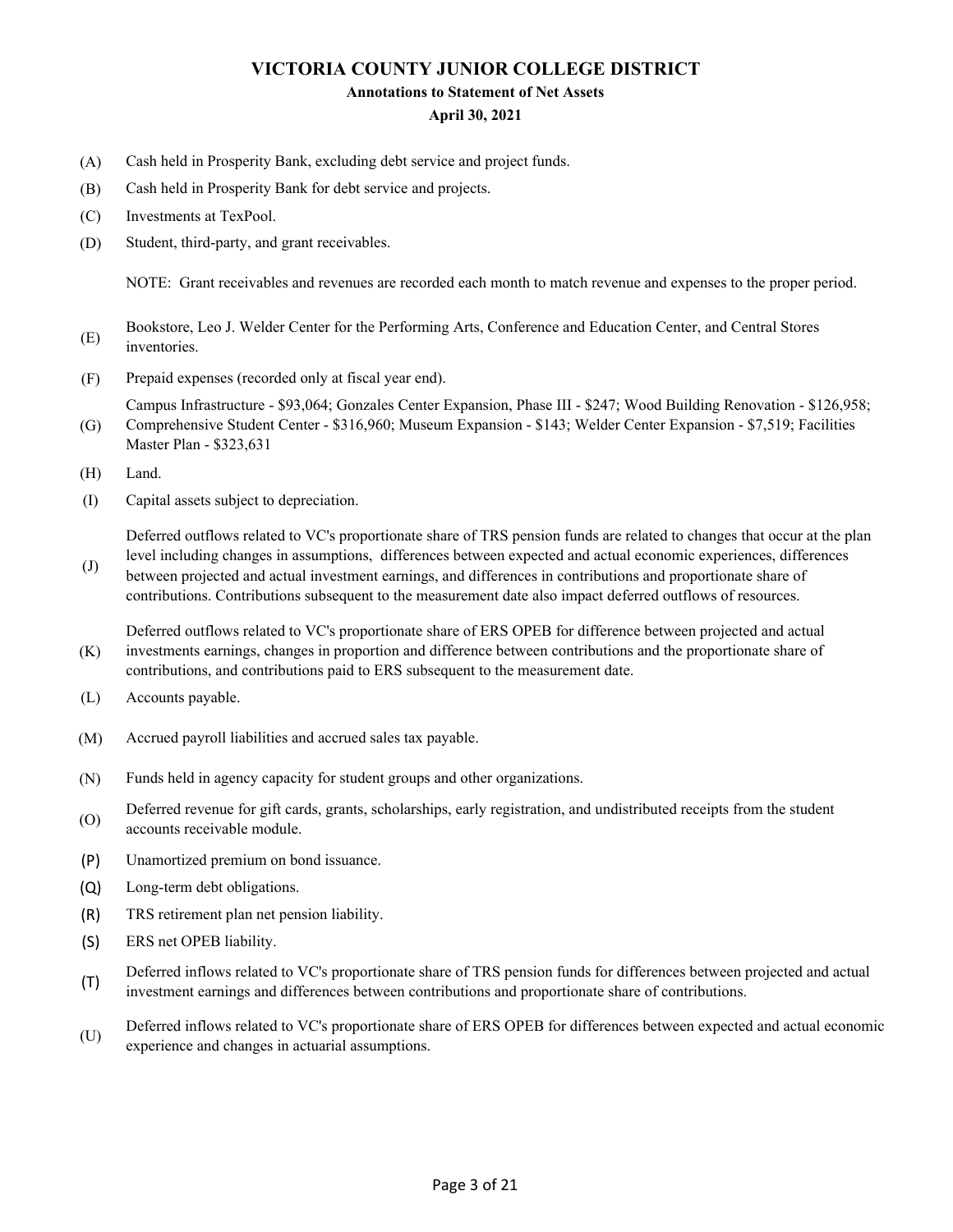#### **Annotations to Statement of Net Assets**

#### **April 30, 2021**

- (A) Cash held in Prosperity Bank, excluding debt service and project funds.
- (B) Cash held in Prosperity Bank for debt service and projects.
- (C) Investments at TexPool.
- (D) Student, third-party, and grant receivables.

NOTE: Grant receivables and revenues are recorded each month to match revenue and expenses to the proper period.

- (E) Bookstore, Leo J. Welder Center for the Performing Arts, Conference and Education Center, and Central Stores inventories.
- (F) Prepaid expenses (recorded only at fiscal year end).

(G) Campus Infrastructure - \$93,064; Gonzales Center Expansion, Phase III - \$247; Wood Building Renovation - \$126,958; Comprehensive Student Center - \$316,960; Museum Expansion - \$143; Welder Center Expansion - \$7,519; Facilities

- Master Plan \$323,631
- (H) Land.
- (I) Capital assets subject to depreciation.

Deferred outflows related to VC's proportionate share of TRS pension funds are related to changes that occur at the plan level including changes in assumptions, differences between expected and actual economic experiences, differences

(J) between projected and actual investment earnings, and differences in contributions and proportionate share of contributions. Contributions subsequent to the measurement date also impact deferred outflows of resources.

(K) Deferred outflows related to VC's proportionate share of ERS OPEB for difference between projected and actual investments earnings, changes in proportion and difference between contributions and the proportionate share of contributions, and contributions paid to ERS subsequent to the measurement date.

- (L) Accounts payable.
- (M) Accrued payroll liabilities and accrued sales tax payable.
- (N) Funds held in agency capacity for student groups and other organizations.
- (O) Deferred revenue for gift cards, grants, scholarships, early registration, and undistributed receipts from the student accounts receivable module.
- (P) Unamortized premium on bond issuance.
- (Q) Long-term debt obligations.
- (R) TRS retirement plan net pension liability.
- (S) ERS net OPEB liability.
- (T) Deferred inflows related to VC's proportionate share of TRS pension funds for differences between projected and actual investment earnings and differences between contributions and proportionate share of contributions.
- (U) Deferred inflows related to VC's proportionate share of ERS OPEB for differences between expected and actual economic experience and changes in actuarial assumptions.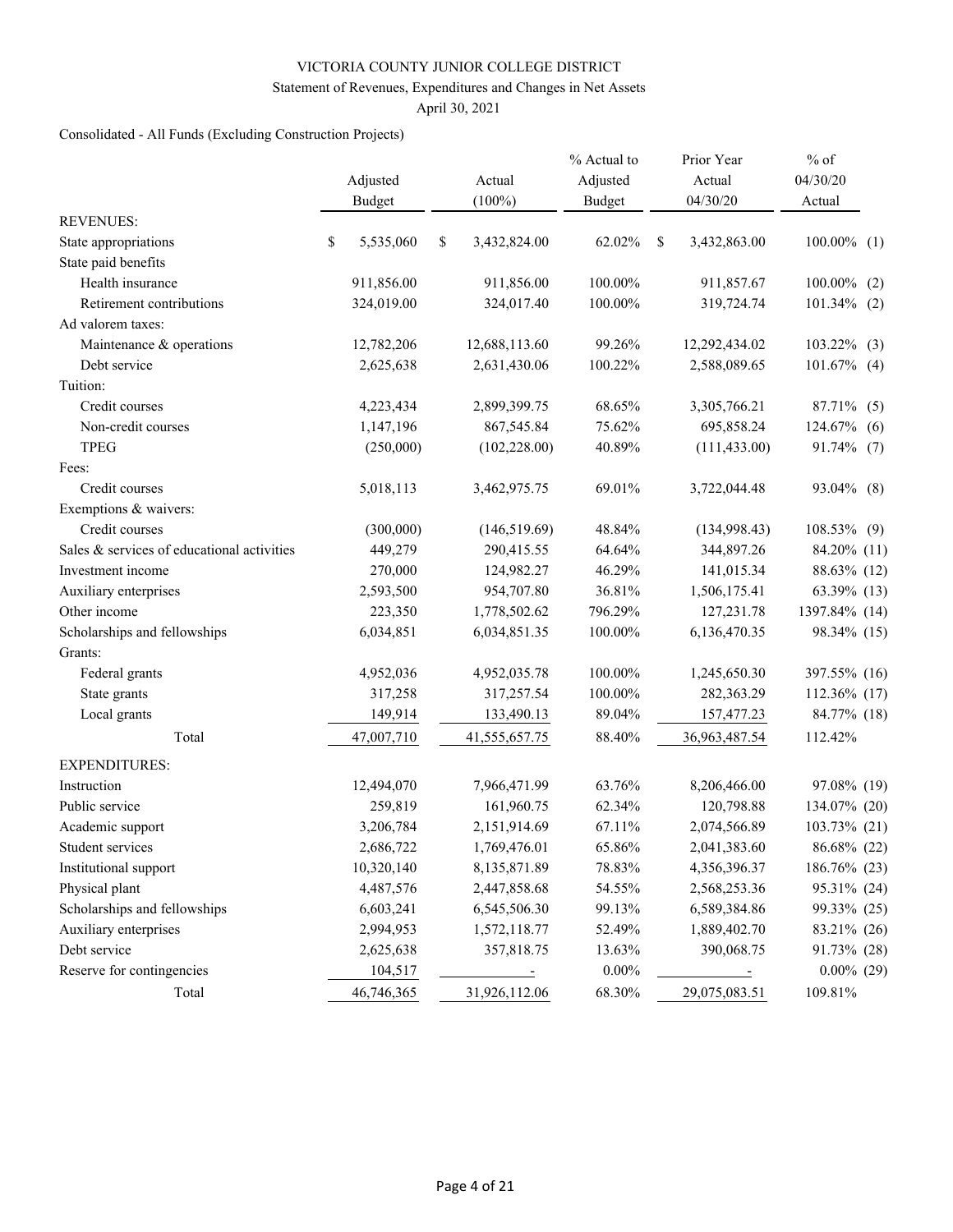#### Statement of Revenues, Expenditures and Changes in Net Assets

April 30, 2021

## Consolidated - All Funds (Excluding Construction Projects)

|                                            | Adjusted<br><b>Budget</b> | Actual<br>$(100\%)$ | % Actual to<br>Adjusted<br><b>Budget</b> |   | Prior Year<br>Actual<br>04/30/20 | $%$ of<br>04/30/20<br>Actual |
|--------------------------------------------|---------------------------|---------------------|------------------------------------------|---|----------------------------------|------------------------------|
| <b>REVENUES:</b>                           |                           |                     |                                          |   |                                  |                              |
| State appropriations                       | \$<br>5,535,060           | \$<br>3,432,824.00  | 62.02%                                   | S | 3,432,863.00                     | $100.00\%$ (1)               |
| State paid benefits                        |                           |                     |                                          |   |                                  |                              |
| Health insurance                           | 911,856.00                | 911,856.00          | 100.00%                                  |   | 911,857.67                       | 100.00%<br>(2)               |
| Retirement contributions                   | 324,019.00                | 324,017.40          | 100.00%                                  |   | 319,724.74                       | $101.34\%$ (2)               |
| Ad valorem taxes:                          |                           |                     |                                          |   |                                  |                              |
| Maintenance & operations                   | 12,782,206                | 12,688,113.60       | 99.26%                                   |   | 12,292,434.02                    | $103.22\%$ (3)               |
| Debt service                               | 2,625,638                 | 2,631,430.06        | 100.22%                                  |   | 2,588,089.65                     | $101.67\%$ (4)               |
| Tuition:                                   |                           |                     |                                          |   |                                  |                              |
| Credit courses                             | 4,223,434                 | 2,899,399.75        | 68.65%                                   |   | 3,305,766.21                     | 87.71% (5)                   |
| Non-credit courses                         | 1,147,196                 | 867,545.84          | 75.62%                                   |   | 695,858.24                       | 124.67%<br>(6)               |
| <b>TPEG</b>                                | (250,000)                 | (102, 228.00)       | 40.89%                                   |   | (111, 433.00)                    | 91.74% (7)                   |
| Fees:                                      |                           |                     |                                          |   |                                  |                              |
| Credit courses                             | 5,018,113                 | 3,462,975.75        | 69.01%                                   |   | 3,722,044.48                     | 93.04% (8)                   |
| Exemptions & waivers:                      |                           |                     |                                          |   |                                  |                              |
| Credit courses                             | (300,000)                 | (146, 519.69)       | 48.84%                                   |   | (134,998.43)                     | 108.53% (9)                  |
| Sales & services of educational activities | 449,279                   | 290,415.55          | 64.64%                                   |   | 344,897.26                       | 84.20% (11)                  |
| Investment income                          | 270,000                   | 124,982.27          | 46.29%                                   |   | 141,015.34                       | 88.63% (12)                  |
| Auxiliary enterprises                      | 2,593,500                 | 954,707.80          | 36.81%                                   |   | 1,506,175.41                     | 63.39% (13)                  |
| Other income                               | 223,350                   | 1,778,502.62        | 796.29%                                  |   | 127,231.78                       | 1397.84% (14)                |
| Scholarships and fellowships               | 6,034,851                 | 6,034,851.35        | 100.00%                                  |   | 6,136,470.35                     | 98.34% (15)                  |
| Grants:                                    |                           |                     |                                          |   |                                  |                              |
| Federal grants                             | 4,952,036                 | 4,952,035.78        | 100.00%                                  |   | 1,245,650.30                     | 397.55% (16)                 |
| State grants                               | 317,258                   | 317,257.54          | 100.00%                                  |   | 282,363.29                       | 112.36% (17)                 |
| Local grants                               | 149,914                   | 133,490.13          | 89.04%                                   |   | 157,477.23                       | 84.77% (18)                  |
| Total                                      | 47,007,710                | 41,555,657.75       | 88.40%                                   |   | 36,963,487.54                    | 112.42%                      |
| <b>EXPENDITURES:</b>                       |                           |                     |                                          |   |                                  |                              |
| Instruction                                | 12,494,070                | 7,966,471.99        | 63.76%                                   |   | 8,206,466.00                     | 97.08% (19)                  |
| Public service                             | 259,819                   | 161,960.75          | 62.34%                                   |   | 120,798.88                       | 134.07% (20)                 |
| Academic support                           | 3,206,784                 | 2,151,914.69        | 67.11%                                   |   | 2,074,566.89                     | 103.73% (21)                 |
| Student services                           | 2,686,722                 | 1,769,476.01        | 65.86%                                   |   | 2,041,383.60                     | 86.68% (22)                  |
| Institutional support                      | 10,320,140                | 8,135,871.89        | 78.83%                                   |   | 4,356,396.37                     | 186.76% (23)                 |
| Physical plant                             | 4,487,576                 | 2,447,858.68        | 54.55%                                   |   | 2,568,253.36                     | 95.31% (24)                  |
| Scholarships and fellowships               | 6,603,241                 | 6,545,506.30        | 99.13%                                   |   | 6,589,384.86                     | 99.33% (25)                  |
| Auxiliary enterprises                      | 2,994,953                 | 1,572,118.77        | 52.49%                                   |   | 1,889,402.70                     | 83.21% (26)                  |
| Debt service                               | 2,625,638                 | 357,818.75          | 13.63%                                   |   | 390,068.75                       | 91.73% (28)                  |
| Reserve for contingencies                  | 104,517                   | $\equiv$            | $0.00\%$                                 |   |                                  | $0.00\%$ (29)                |
| Total                                      | 46,746,365                | 31,926,112.06       | 68.30%                                   |   | 29,075,083.51                    | 109.81%                      |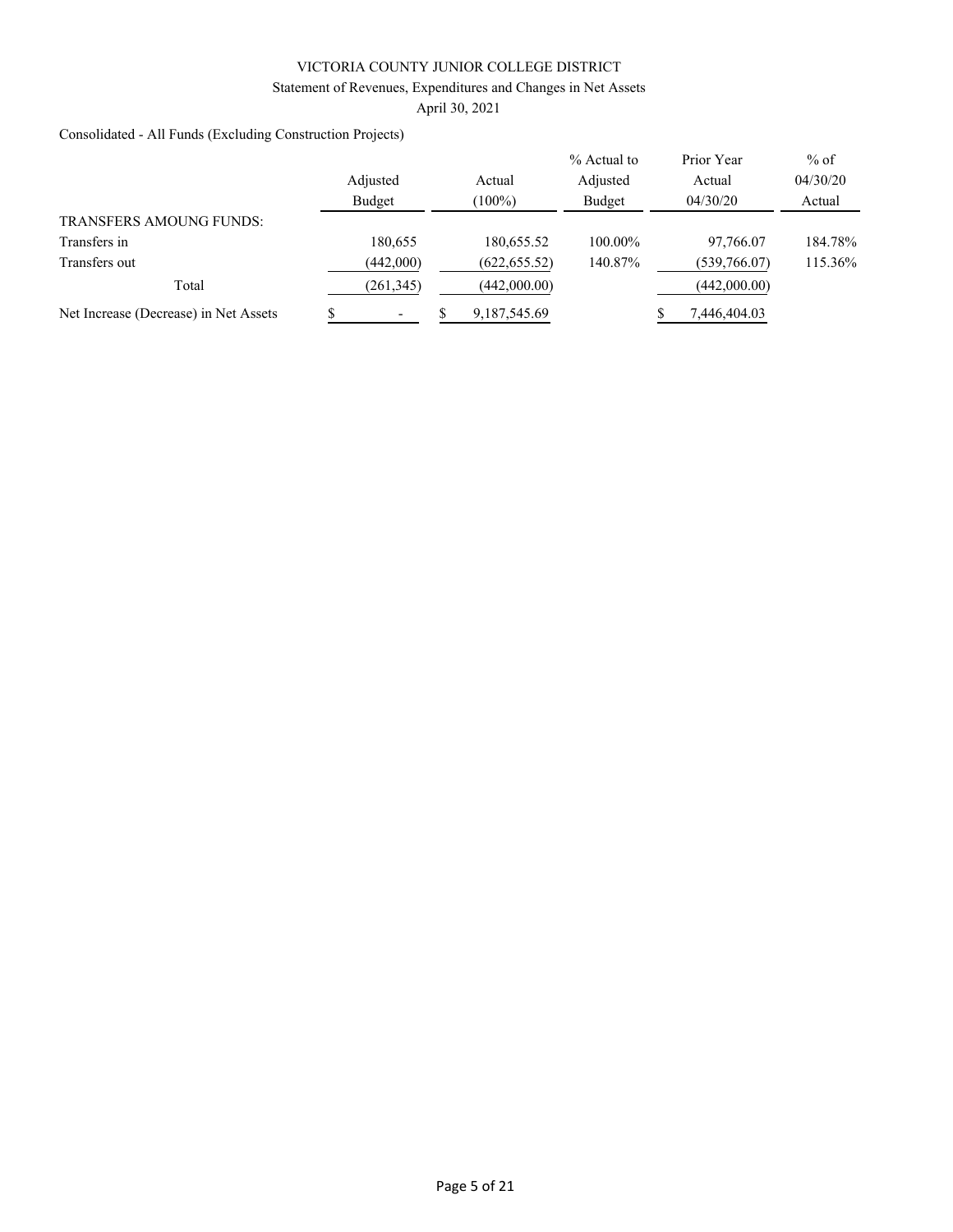Statement of Revenues, Expenditures and Changes in Net Assets

April 30, 2021

Consolidated - All Funds (Excluding Construction Projects)

|                                       |            |                | % Actual to | Prior Year   | $%$ of   |
|---------------------------------------|------------|----------------|-------------|--------------|----------|
|                                       | Adjusted   | Actual         | Adjusted    | Actual       | 04/30/20 |
|                                       | Budget     | $(100\%)$      | Budget      | 04/30/20     | Actual   |
| <b>TRANSFERS AMOUNG FUNDS:</b>        |            |                |             |              |          |
| Transfers in                          | 180,655    | 180,655.52     | 100.00%     | 97,766.07    | 184.78%  |
| Transfers out                         | (442,000)  | (622, 655.52)  | 140.87%     | (539,766.07) | 115.36%  |
| Total                                 | (261, 345) | (442,000.00)   |             | (442,000.00) |          |
| Net Increase (Decrease) in Net Assets |            | 9, 187, 545.69 |             | 7,446,404.03 |          |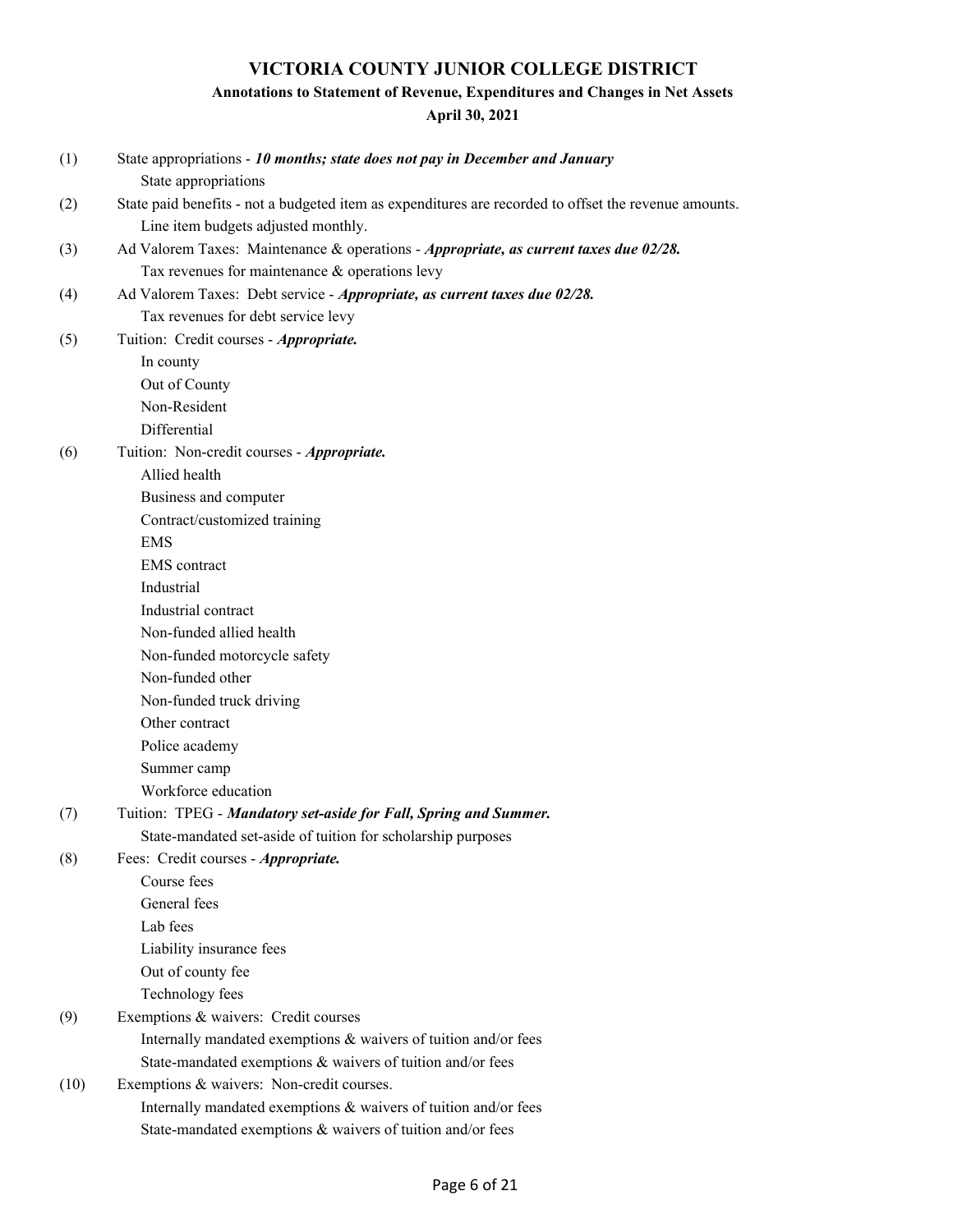## **Annotations to Statement of Revenue, Expenditures and Changes in Net Assets**

| (1)  | State appropriations - 10 months; state does not pay in December and January<br>State appropriations  |
|------|-------------------------------------------------------------------------------------------------------|
| (2)  | State paid benefits - not a budgeted item as expenditures are recorded to offset the revenue amounts. |
|      | Line item budgets adjusted monthly.                                                                   |
| (3)  | Ad Valorem Taxes: Maintenance & operations - Appropriate, as current taxes due 02/28.                 |
|      | Tax revenues for maintenance & operations levy                                                        |
| (4)  | Ad Valorem Taxes: Debt service - Appropriate, as current taxes due 02/28.                             |
|      | Tax revenues for debt service levy                                                                    |
| (5)  | Tuition: Credit courses - Appropriate.                                                                |
|      | In county                                                                                             |
|      | Out of County                                                                                         |
|      | Non-Resident                                                                                          |
|      | Differential                                                                                          |
| (6)  | Tuition: Non-credit courses - Appropriate.                                                            |
|      | Allied health                                                                                         |
|      | Business and computer                                                                                 |
|      | Contract/customized training                                                                          |
|      | <b>EMS</b>                                                                                            |
|      | <b>EMS</b> contract                                                                                   |
|      | Industrial                                                                                            |
|      | Industrial contract                                                                                   |
|      | Non-funded allied health                                                                              |
|      | Non-funded motorcycle safety                                                                          |
|      | Non-funded other                                                                                      |
|      | Non-funded truck driving                                                                              |
|      | Other contract                                                                                        |
|      | Police academy                                                                                        |
|      | Summer camp                                                                                           |
|      | Workforce education                                                                                   |
| (7)  | Tuition: TPEG - Mandatory set-aside for Fall, Spring and Summer.                                      |
|      | State-mandated set-aside of tuition for scholarship purposes                                          |
| (8)  | Fees: Credit courses - Appropriate.                                                                   |
|      | Course fees                                                                                           |
|      | General fees                                                                                          |
|      | Lab fees                                                                                              |
|      | Liability insurance fees                                                                              |
|      | Out of county fee                                                                                     |
|      | Technology fees                                                                                       |
| (9)  | Exemptions & waivers: Credit courses                                                                  |
|      | Internally mandated exemptions & waivers of tuition and/or fees                                       |
|      | State-mandated exemptions & waivers of tuition and/or fees                                            |
| (10) | Exemptions & waivers: Non-credit courses.                                                             |
|      | Internally mandated exemptions & waivers of tuition and/or fees                                       |
|      | State-mandated exemptions & waivers of tuition and/or fees                                            |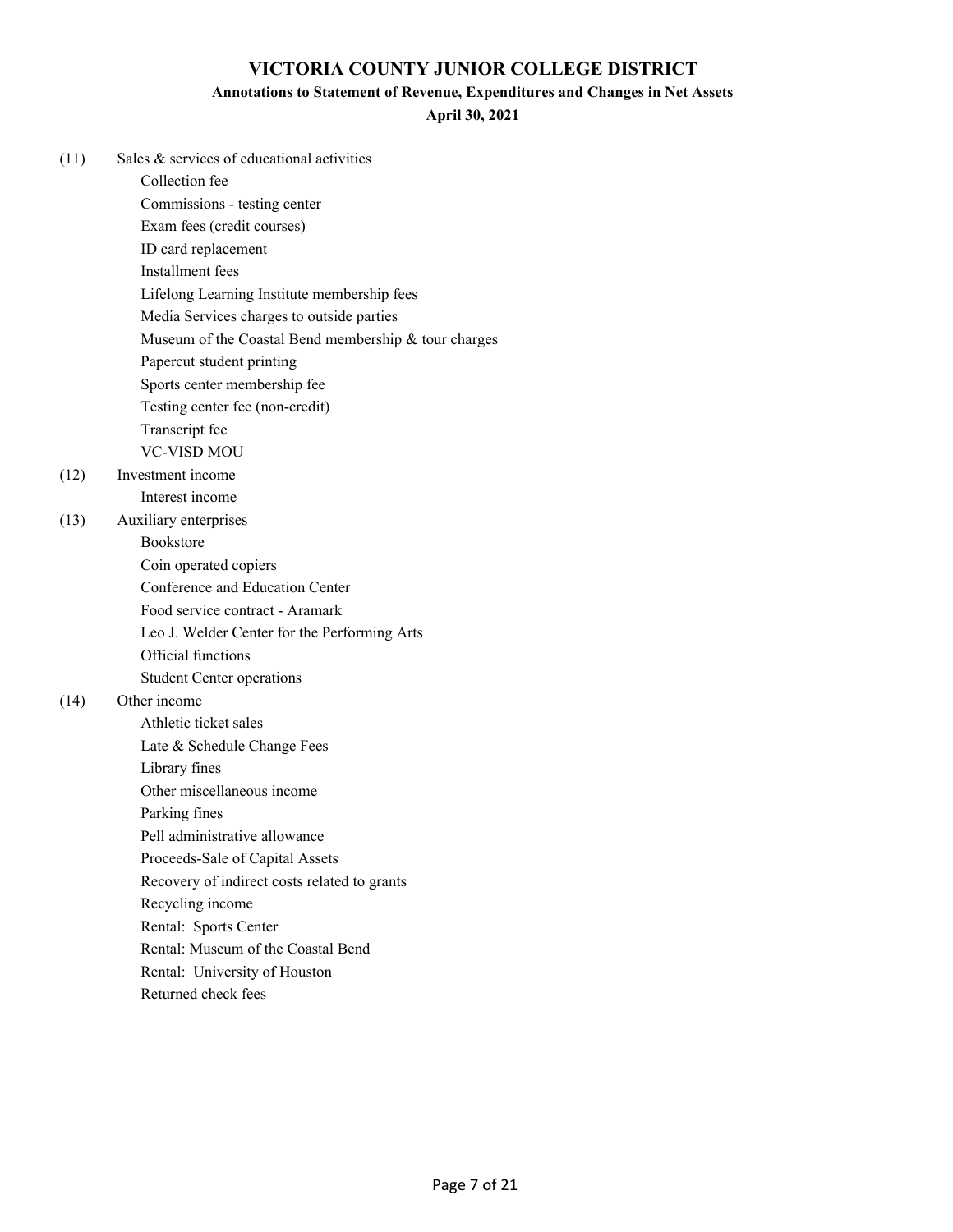## **Annotations to Statement of Revenue, Expenditures and Changes in Net Assets**

**April 30, 2021**

| (11) | Sales & services of educational activities           |
|------|------------------------------------------------------|
|      | Collection fee                                       |
|      | Commissions - testing center                         |
|      | Exam fees (credit courses)                           |
|      | ID card replacement                                  |
|      | Installment fees                                     |
|      | Lifelong Learning Institute membership fees          |
|      | Media Services charges to outside parties            |
|      | Museum of the Coastal Bend membership & tour charges |
|      | Papercut student printing                            |
|      | Sports center membership fee                         |
|      | Testing center fee (non-credit)                      |
|      | Transcript fee                                       |
|      | <b>VC-VISD MOU</b>                                   |
| (12) | Investment income                                    |
|      | Interest income                                      |
| (13) | Auxiliary enterprises                                |
|      | Bookstore                                            |
|      | Coin operated copiers                                |
|      | Conference and Education Center                      |
|      | Food service contract - Aramark                      |
|      | Leo J. Welder Center for the Performing Arts         |
|      | Official functions                                   |
|      | <b>Student Center operations</b>                     |
| (14) | Other income                                         |
|      | Athletic ticket sales                                |
|      | Late & Schedule Change Fees                          |
|      | Library fines                                        |
|      | Other miscellaneous income                           |
|      | Parking fines                                        |
|      | Pell administrative allowance                        |
|      | Proceeds-Sale of Capital Assets                      |
|      | Recovery of indirect costs related to grants         |
|      | Recycling income                                     |
|      | Rental: Sports Center                                |
|      | Rental: Museum of the Coastal Bend                   |
|      | Rental: University of Houston                        |

Returned check fees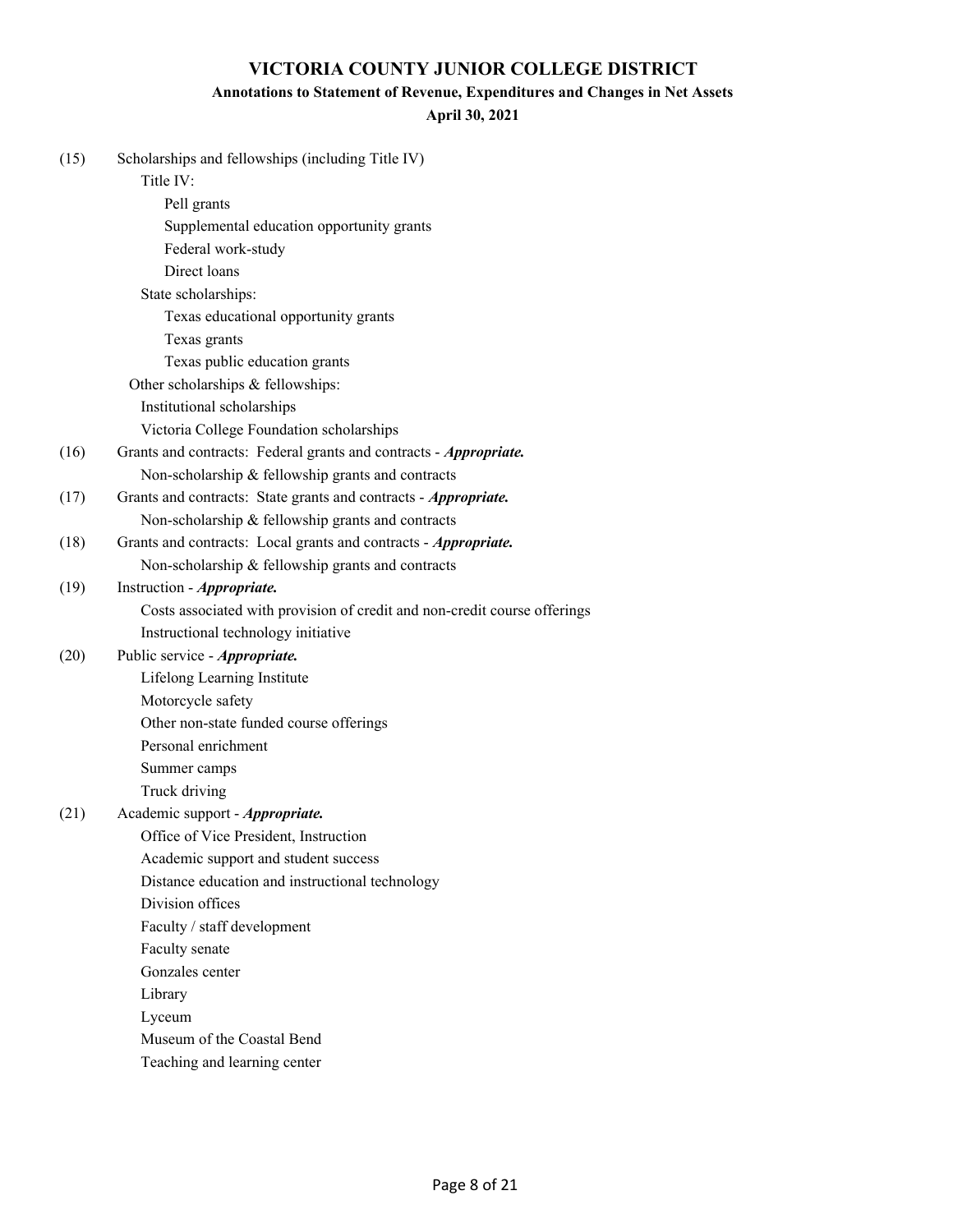## **Annotations to Statement of Revenue, Expenditures and Changes in Net Assets**

| (15) | Scholarships and fellowships (including Title IV)                         |
|------|---------------------------------------------------------------------------|
|      | Title IV:                                                                 |
|      | Pell grants                                                               |
|      | Supplemental education opportunity grants                                 |
|      | Federal work-study                                                        |
|      | Direct loans                                                              |
|      | State scholarships:                                                       |
|      | Texas educational opportunity grants                                      |
|      | Texas grants                                                              |
|      | Texas public education grants                                             |
|      | Other scholarships & fellowships:                                         |
|      | Institutional scholarships                                                |
|      | Victoria College Foundation scholarships                                  |
| (16) | Grants and contracts: Federal grants and contracts - Appropriate.         |
|      | Non-scholarship & fellowship grants and contracts                         |
| (17) | Grants and contracts: State grants and contracts - Appropriate.           |
|      | Non-scholarship & fellowship grants and contracts                         |
| (18) | Grants and contracts: Local grants and contracts - Appropriate.           |
|      | Non-scholarship & fellowship grants and contracts                         |
| (19) | Instruction - <i>Appropriate</i> .                                        |
|      | Costs associated with provision of credit and non-credit course offerings |
|      | Instructional technology initiative                                       |
| (20) | Public service - Appropriate.                                             |
|      | Lifelong Learning Institute                                               |
|      | Motorcycle safety                                                         |
|      | Other non-state funded course offerings                                   |
|      | Personal enrichment                                                       |
|      | Summer camps                                                              |
|      | Truck driving                                                             |
| (21) | Academic support - Appropriate.                                           |
|      | Office of Vice President, Instruction                                     |
|      | Academic support and student success                                      |
|      | Distance education and instructional technology                           |
|      | Division offices                                                          |
|      | Faculty / staff development                                               |
|      | Faculty senate                                                            |
|      | Gonzales center                                                           |
|      | Library                                                                   |
|      | Lyceum                                                                    |
|      | Museum of the Coastal Bend                                                |
|      | Teaching and learning center                                              |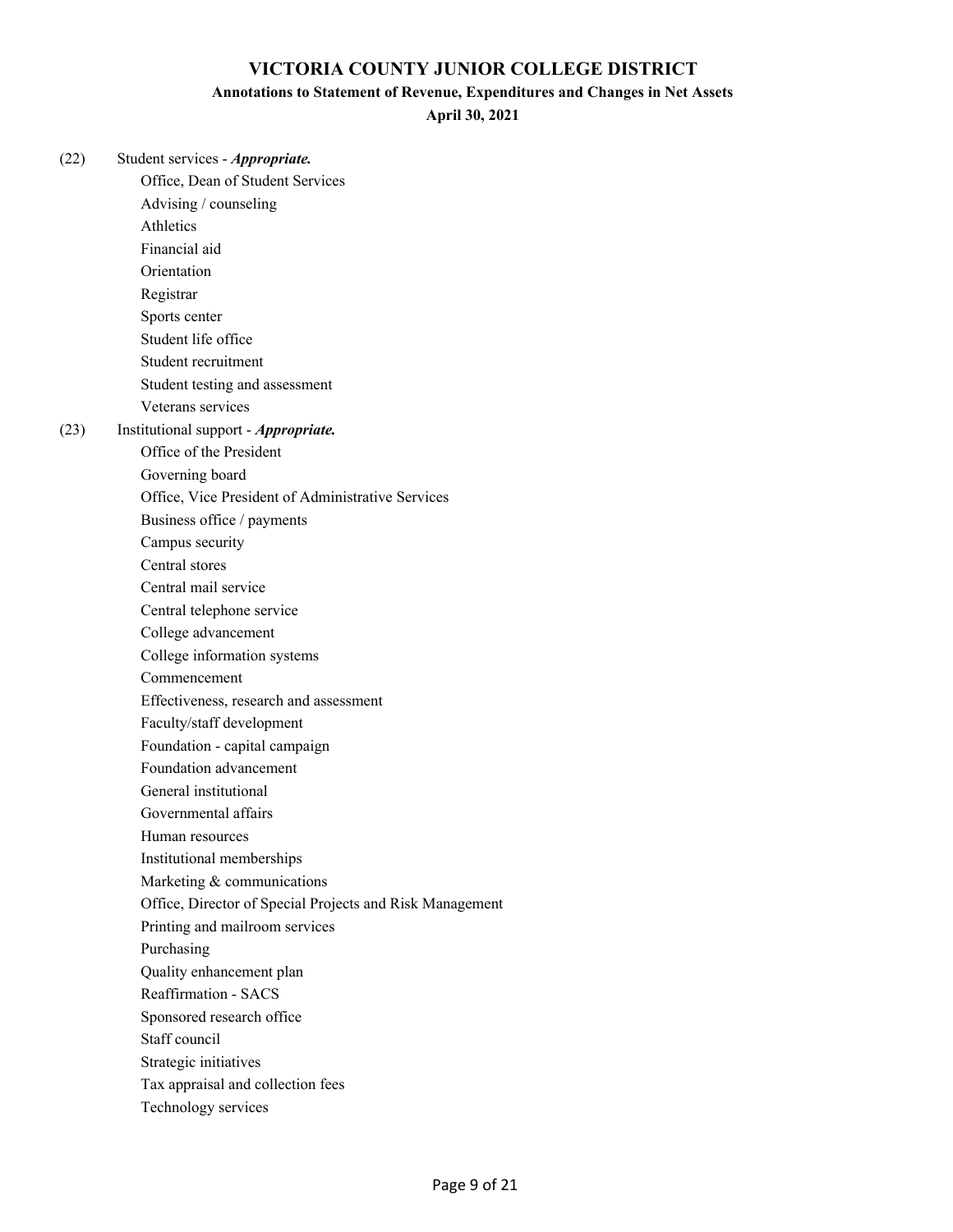#### **Annotations to Statement of Revenue, Expenditures and Changes in Net Assets**

**April 30, 2021**

(22) Student services - *Appropriate.* Office, Dean of Student Services Advising / counseling Athletics Financial aid Orientation Registrar Sports center Student life office Student recruitment Student testing and assessment Veterans services (23) Institutional support - *Appropriate.* Office of the President

Governing board

Office, Vice President of Administrative Services

Business office / payments

Campus security

Central stores

Central mail service

Central telephone service

College advancement

College information systems

Commencement

Effectiveness, research and assessment

Faculty/staff development

Foundation - capital campaign

Foundation advancement

General institutional

Governmental affairs

Human resources

Institutional memberships

Marketing & communications

Office, Director of Special Projects and Risk Management

Printing and mailroom services

Purchasing

Quality enhancement plan

Reaffirmation - SACS

Sponsored research office

Staff council

Strategic initiatives

Tax appraisal and collection fees

Technology services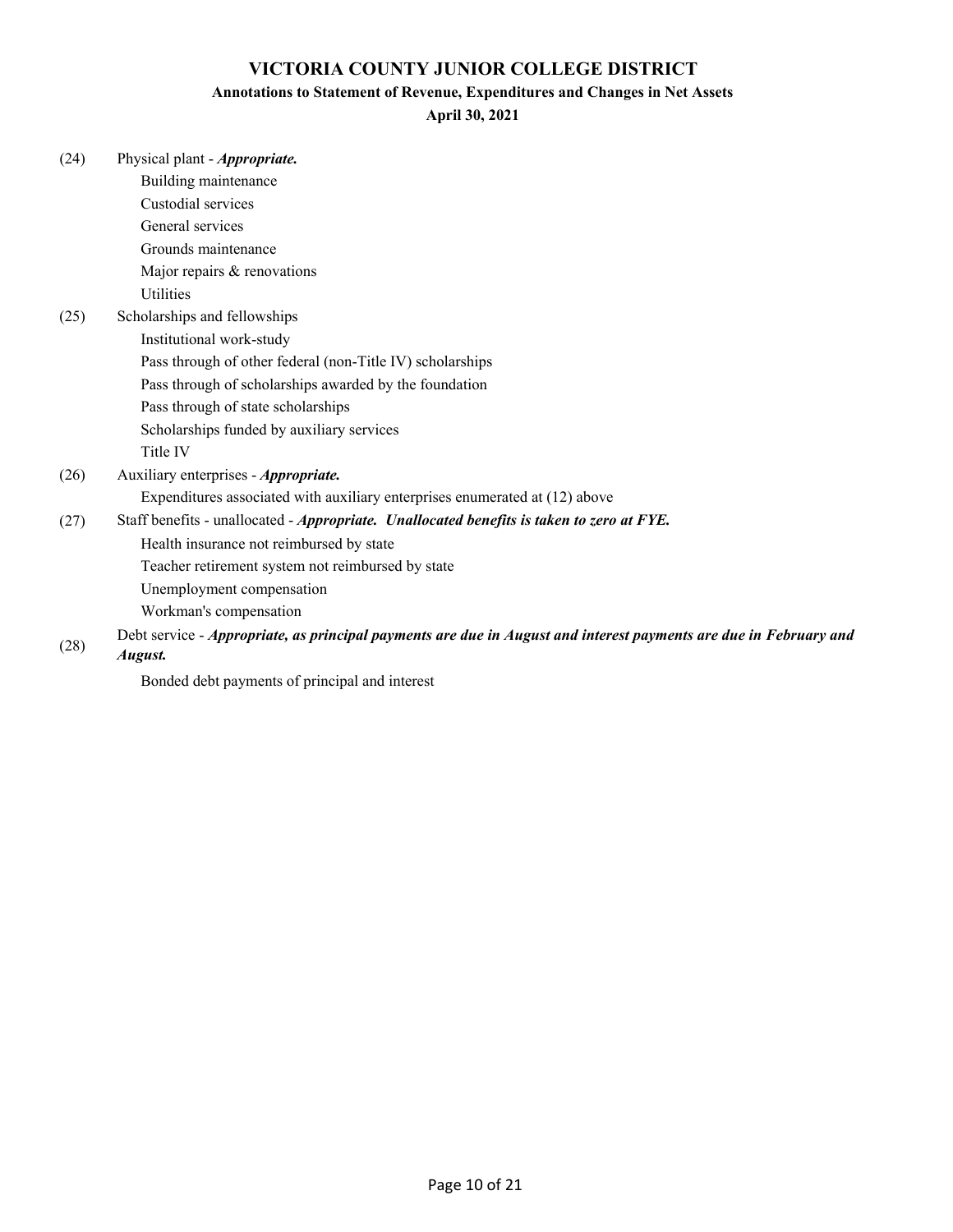## **Annotations to Statement of Revenue, Expenditures and Changes in Net Assets**

| (24) | Physical plant - <i>Appropriate</i> . |
|------|---------------------------------------|
|      |                                       |

|      | Building maintenance                                                                                              |
|------|-------------------------------------------------------------------------------------------------------------------|
|      | Custodial services                                                                                                |
|      | General services                                                                                                  |
|      | Grounds maintenance                                                                                               |
|      | Major repairs & renovations                                                                                       |
|      | <b>Utilities</b>                                                                                                  |
| (25) | Scholarships and fellowships                                                                                      |
|      | Institutional work-study                                                                                          |
|      | Pass through of other federal (non-Title IV) scholarships                                                         |
|      | Pass through of scholarships awarded by the foundation                                                            |
|      | Pass through of state scholarships                                                                                |
|      | Scholarships funded by auxiliary services                                                                         |
|      | Title IV                                                                                                          |
| (26) | Auxiliary enterprises - <i>Appropriate</i> .                                                                      |
|      | Expenditures associated with auxiliary enterprises enumerated at (12) above                                       |
| (27) | Staff benefits - unallocated - Appropriate. Unallocated benefits is taken to zero at FYE.                         |
|      | Health insurance not reimbursed by state                                                                          |
|      | Teacher retirement system not reimbursed by state                                                                 |
|      | Unemployment compensation                                                                                         |
|      | Workman's compensation                                                                                            |
| (28) | Debt service - Appropriate, as principal payments are due in August and interest payments are due in February and |
|      | August.                                                                                                           |
|      | Bonded debt payments of principal and interest                                                                    |
|      |                                                                                                                   |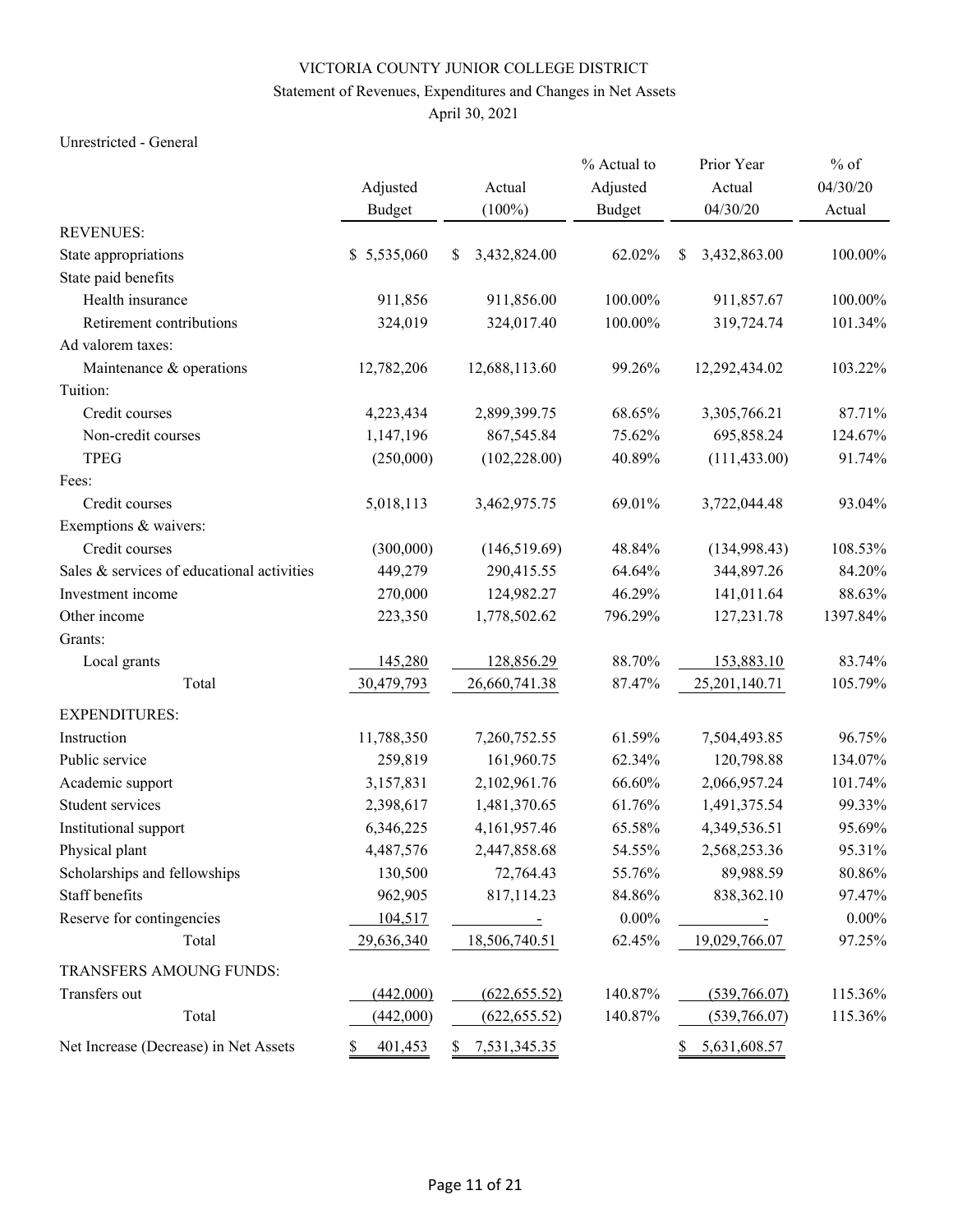## Statement of Revenues, Expenditures and Changes in Net Assets

April 30, 2021

#### Unrestricted - General

|                                            |               |                    | % Actual to   | Prior Year         | $%$ of   |
|--------------------------------------------|---------------|--------------------|---------------|--------------------|----------|
|                                            | Adjusted      | Actual             | Adjusted      | Actual             | 04/30/20 |
|                                            | <b>Budget</b> | $(100\%)$          | <b>Budget</b> | 04/30/20           | Actual   |
| <b>REVENUES:</b>                           |               |                    |               |                    |          |
| State appropriations                       | \$5,535,060   | 3,432,824.00<br>\$ | 62.02%        | \$<br>3,432,863.00 | 100.00%  |
| State paid benefits                        |               |                    |               |                    |          |
| Health insurance                           | 911,856       | 911,856.00         | 100.00%       | 911,857.67         | 100.00%  |
| Retirement contributions                   | 324,019       | 324,017.40         | 100.00%       | 319,724.74         | 101.34%  |
| Ad valorem taxes:                          |               |                    |               |                    |          |
| Maintenance & operations                   | 12,782,206    | 12,688,113.60      | 99.26%        | 12,292,434.02      | 103.22%  |
| Tuition:                                   |               |                    |               |                    |          |
| Credit courses                             | 4,223,434     | 2,899,399.75       | 68.65%        | 3,305,766.21       | 87.71%   |
| Non-credit courses                         | 1,147,196     | 867,545.84         | 75.62%        | 695,858.24         | 124.67%  |
| <b>TPEG</b>                                | (250,000)     | (102, 228.00)      | 40.89%        | (111, 433.00)      | 91.74%   |
| Fees:                                      |               |                    |               |                    |          |
| Credit courses                             | 5,018,113     | 3,462,975.75       | 69.01%        | 3,722,044.48       | 93.04%   |
| Exemptions & waivers:                      |               |                    |               |                    |          |
| Credit courses                             | (300,000)     | (146, 519.69)      | 48.84%        | (134,998.43)       | 108.53%  |
| Sales & services of educational activities | 449,279       | 290,415.55         | 64.64%        | 344,897.26         | 84.20%   |
| Investment income                          | 270,000       | 124,982.27         | 46.29%        | 141,011.64         | 88.63%   |
| Other income                               | 223,350       | 1,778,502.62       | 796.29%       | 127,231.78         | 1397.84% |
| Grants:                                    |               |                    |               |                    |          |
| Local grants                               | 145,280       | 128,856.29         | 88.70%        | 153,883.10         | 83.74%   |
| Total                                      | 30,479,793    | 26,660,741.38      | 87.47%        | 25, 201, 140. 71   | 105.79%  |
| <b>EXPENDITURES:</b>                       |               |                    |               |                    |          |
| Instruction                                | 11,788,350    | 7,260,752.55       | 61.59%        | 7,504,493.85       | 96.75%   |
| Public service                             | 259,819       | 161,960.75         | 62.34%        | 120,798.88         | 134.07%  |
| Academic support                           | 3,157,831     | 2,102,961.76       | 66.60%        | 2,066,957.24       | 101.74%  |
| Student services                           | 2,398,617     | 1,481,370.65       | 61.76%        | 1,491,375.54       | 99.33%   |
| Institutional support                      | 6,346,225     | 4,161,957.46       | 65.58%        | 4,349,536.51       | 95.69%   |
| Physical plant                             | 4,487,576     | 2,447,858.68       | 54.55%        | 2,568,253.36       | 95.31%   |
| Scholarships and fellowships               | 130,500       | 72,764.43          | 55.76%        | 89,988.59          | 80.86%   |
| Staff benefits                             | 962,905       | 817,114.23         | 84.86%        | 838,362.10         | 97.47%   |
| Reserve for contingencies                  | 104,517       |                    | $0.00\%$      |                    | $0.00\%$ |
| Total                                      | 29,636,340    | 18,506,740.51      | 62.45%        | 19,029,766.07      | 97.25%   |
| TRANSFERS AMOUNG FUNDS:                    |               |                    |               |                    |          |
| Transfers out                              | (442,000)     | (622, 655.52)      | 140.87%       | (539,766.07)       | 115.36%  |
| Total                                      | (442,000)     | (622, 655.52)      | 140.87%       | (539,766.07)       | 115.36%  |
| Net Increase (Decrease) in Net Assets      | 401,453<br>S  | 7,531,345.35<br>S. |               | 5,631,608.57<br>S. |          |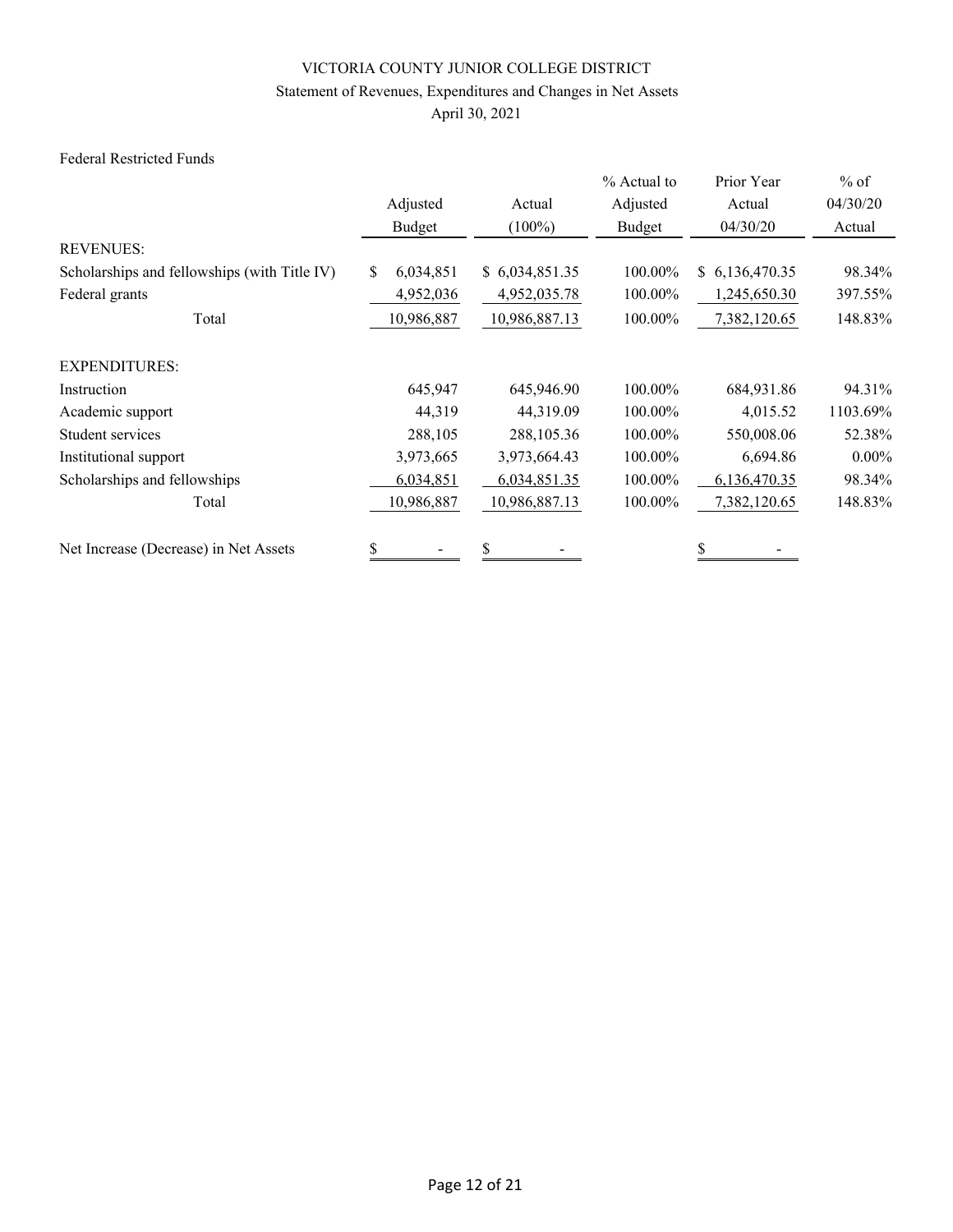## Statement of Revenues, Expenditures and Changes in Net Assets

April 30, 2021

#### Federal Restricted Funds

|                                              |                  |                | % Actual to | Prior Year     | $%$ of   |
|----------------------------------------------|------------------|----------------|-------------|----------------|----------|
|                                              | Adjusted         | Actual         | Adjusted    | Actual         | 04/30/20 |
|                                              | Budget           | $(100\%)$      | Budget      | 04/30/20       | Actual   |
| <b>REVENUES:</b>                             |                  |                |             |                |          |
| Scholarships and fellowships (with Title IV) | 6,034,851<br>\$. | \$6,034,851.35 | 100.00%     | \$6,136,470.35 | 98.34%   |
| Federal grants                               | 4,952,036        | 4,952,035.78   | 100.00%     | 1,245,650.30   | 397.55%  |
| Total                                        | 10,986,887       | 10,986,887.13  | 100.00%     | 7,382,120.65   | 148.83%  |
| <b>EXPENDITURES:</b>                         |                  |                |             |                |          |
| Instruction                                  | 645,947          | 645,946.90     | 100.00%     | 684,931.86     | 94.31%   |
| Academic support                             | 44,319           | 44,319.09      | 100.00%     | 4,015.52       | 1103.69% |
| Student services                             | 288,105          | 288, 105.36    | 100.00%     | 550,008.06     | 52.38%   |
| Institutional support                        | 3,973,665        | 3,973,664.43   | 100.00%     | 6,694.86       | $0.00\%$ |
| Scholarships and fellowships                 | 6,034,851        | 6,034,851.35   | 100.00%     | 6,136,470.35   | 98.34%   |
| Total                                        | 10,986,887       | 10,986,887.13  | 100.00%     | 7,382,120.65   | 148.83%  |
| Net Increase (Decrease) in Net Assets        | \$               | \$             |             |                |          |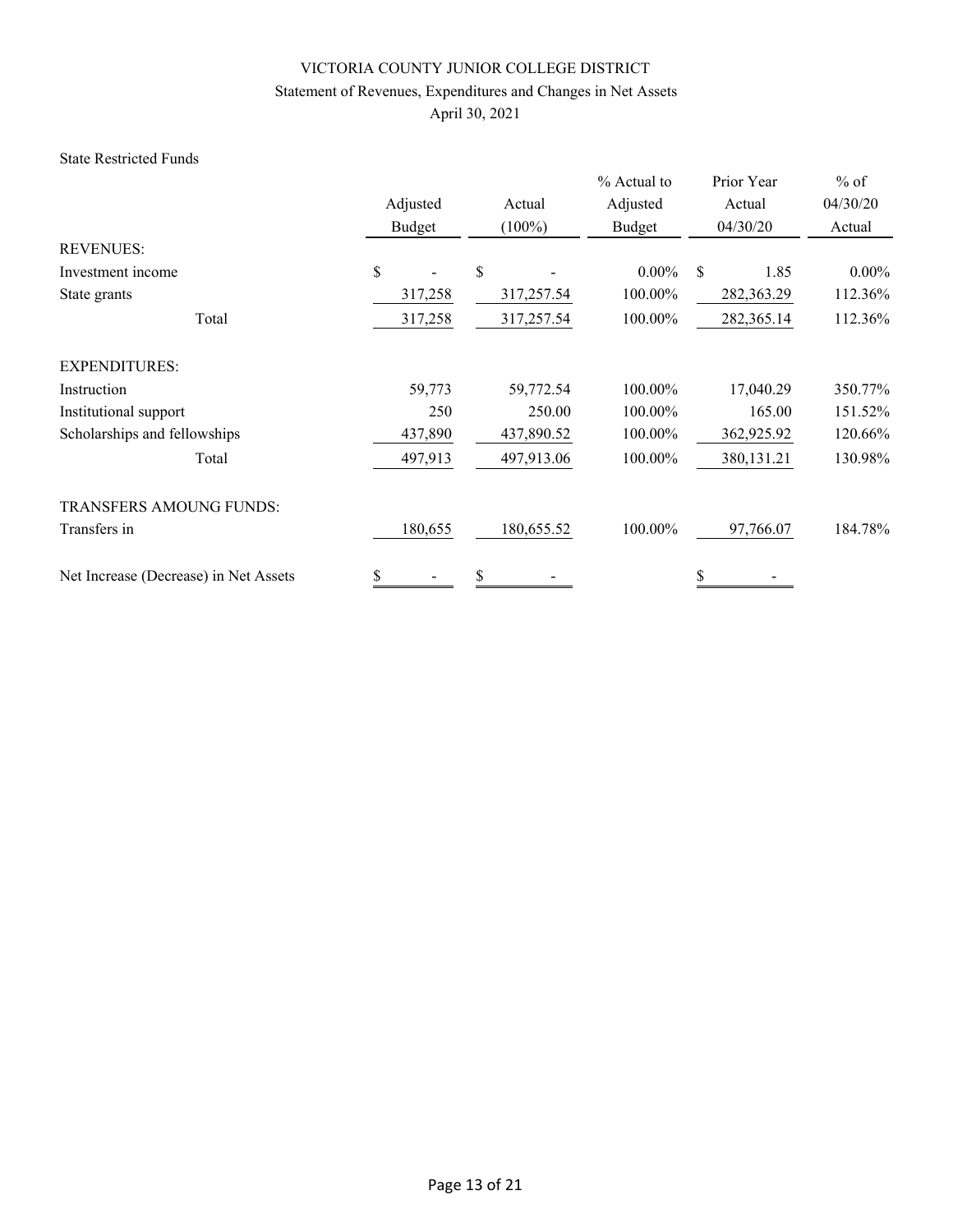## Statement of Revenues, Expenditures and Changes in Net Assets

April 30, 2021

#### State Restricted Funds

|                                       | Adjusted<br>Budget | Actual<br>$(100\%)$ | % Actual to<br>Adjusted<br>Budget | Prior Year<br>Actual<br>04/30/20 | $%$ of<br>04/30/20<br>Actual |
|---------------------------------------|--------------------|---------------------|-----------------------------------|----------------------------------|------------------------------|
| <b>REVENUES:</b>                      |                    |                     |                                   |                                  |                              |
| Investment income                     | \$                 | \$                  | $0.00\%$                          | \$<br>1.85                       | $0.00\%$                     |
| State grants                          | 317,258            | 317,257.54          | 100.00%                           | 282,363.29                       | 112.36%                      |
| Total                                 | 317,258            | 317,257.54          | 100.00%                           | 282,365.14                       | 112.36%                      |
| <b>EXPENDITURES:</b>                  |                    |                     |                                   |                                  |                              |
| Instruction                           | 59,773             | 59,772.54           | 100.00%                           | 17,040.29                        | 350.77%                      |
| Institutional support                 | 250                | 250.00              | 100.00%                           | 165.00                           | 151.52%                      |
| Scholarships and fellowships          | 437,890            | 437,890.52          | 100.00%                           | 362,925.92                       | 120.66%                      |
| Total                                 | 497,913            | 497,913.06          | 100.00%                           | 380, 131. 21                     | 130.98%                      |
| <b>TRANSFERS AMOUNG FUNDS:</b>        |                    |                     |                                   |                                  |                              |
| Transfers in                          | 180,655            | 180,655.52          | 100.00%                           | 97,766.07                        | 184.78%                      |
| Net Increase (Decrease) in Net Assets | \$                 | \$                  |                                   | \$                               |                              |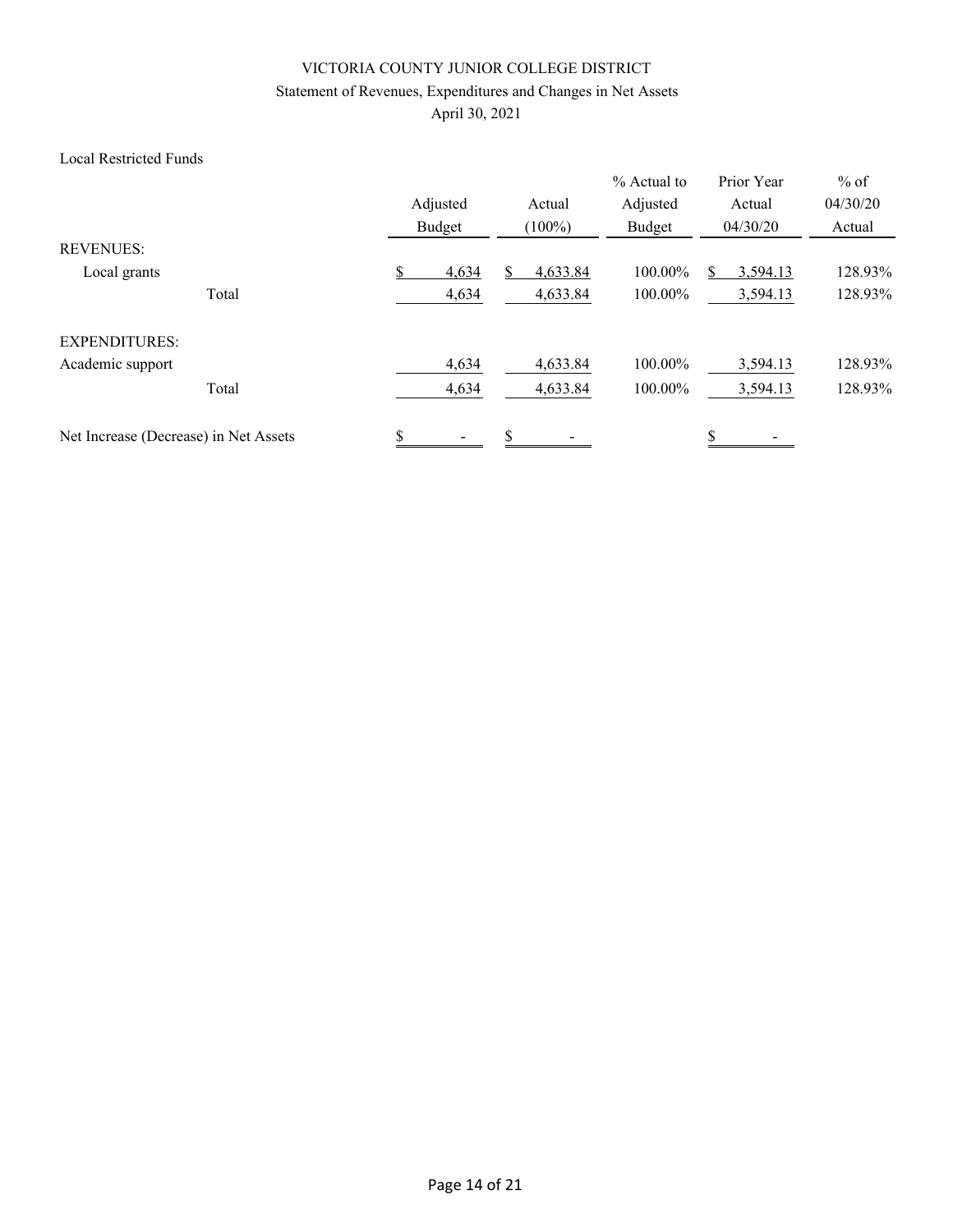## Statement of Revenues, Expenditures and Changes in Net Assets

April 30, 2021

#### Local Restricted Funds

|                                       |       | Adjusted<br>Budget |       | Actual<br>$(100\%)$ |          | % Actual to<br>Adjusted<br>Budget | Prior Year<br>Actual<br>04/30/20 | $%$ of<br>04/30/20<br>Actual |
|---------------------------------------|-------|--------------------|-------|---------------------|----------|-----------------------------------|----------------------------------|------------------------------|
| <b>REVENUES:</b>                      |       |                    |       |                     |          |                                   |                                  |                              |
| Local grants                          |       |                    | 4,634 |                     | 4,633.84 | 100.00%                           | 3,594.13                         | 128.93%                      |
|                                       | Total |                    | 4,634 |                     | 4,633.84 | 100.00%                           | 3,594.13                         | 128.93%                      |
| <b>EXPENDITURES:</b>                  |       |                    |       |                     |          |                                   |                                  |                              |
| Academic support                      |       |                    | 4,634 |                     | 4,633.84 | 100.00%                           | 3,594.13                         | 128.93%                      |
|                                       | Total |                    | 4,634 |                     | 4,633.84 | 100.00%                           | 3,594.13                         | 128.93%                      |
| Net Increase (Decrease) in Net Assets |       | \$                 |       | \$                  |          |                                   | \$                               |                              |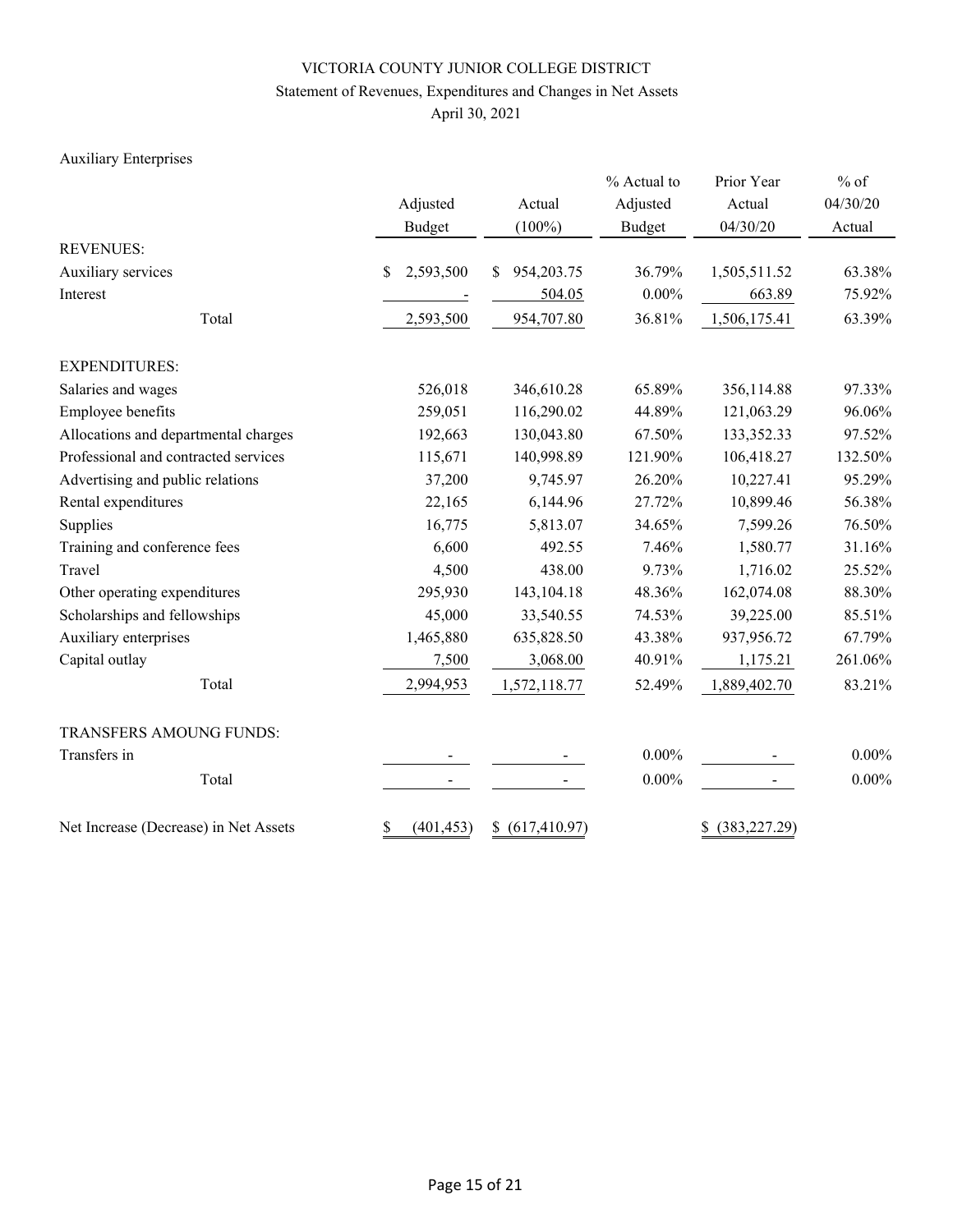## Statement of Revenues, Expenditures and Changes in Net Assets

April 30, 2021

## Auxiliary Enterprises

|                                       |                  |                  | % Actual to   | Prior Year          | $%$ of   |  |
|---------------------------------------|------------------|------------------|---------------|---------------------|----------|--|
|                                       | Adjusted         | Actual           | Adjusted      | Actual              | 04/30/20 |  |
|                                       | <b>Budget</b>    | $(100\%)$        | <b>Budget</b> | 04/30/20            | Actual   |  |
| <b>REVENUES:</b>                      |                  |                  |               |                     |          |  |
| Auxiliary services                    | \$<br>2,593,500  | 954,203.75<br>\$ | 36.79%        | 1,505,511.52        | 63.38%   |  |
| Interest                              |                  | 504.05           | $0.00\%$      | 663.89              | 75.92%   |  |
| Total                                 | 2,593,500        | 954,707.80       | 36.81%        | 1,506,175.41        | 63.39%   |  |
| <b>EXPENDITURES:</b>                  |                  |                  |               |                     |          |  |
| Salaries and wages                    | 526,018          | 346,610.28       | 65.89%        | 356,114.88          | 97.33%   |  |
| Employee benefits                     | 259,051          | 116,290.02       | 44.89%        | 121,063.29          | 96.06%   |  |
| Allocations and departmental charges  | 192,663          | 130,043.80       | 67.50%        | 133,352.33          | 97.52%   |  |
| Professional and contracted services  | 115,671          | 140,998.89       | 121.90%       | 106,418.27          | 132.50%  |  |
| Advertising and public relations      | 37,200           | 9,745.97         | 26.20%        | 10,227.41           | 95.29%   |  |
| Rental expenditures                   | 22,165           | 6,144.96         | 27.72%        | 10,899.46           | 56.38%   |  |
| Supplies                              | 16,775           | 5,813.07         | 34.65%        | 7,599.26            | 76.50%   |  |
| Training and conference fees          | 6,600            | 492.55           | 7.46%         | 1,580.77            | 31.16%   |  |
| Travel                                | 4,500            | 438.00           | 9.73%         | 1,716.02            | 25.52%   |  |
| Other operating expenditures          | 295,930          | 143, 104. 18     | 48.36%        | 162,074.08          | 88.30%   |  |
| Scholarships and fellowships          | 45,000           | 33,540.55        | 74.53%        | 39,225.00           | 85.51%   |  |
| Auxiliary enterprises                 | 1,465,880        | 635,828.50       | 43.38%        | 937,956.72          | 67.79%   |  |
| Capital outlay                        | 7,500            | 3,068.00         | 40.91%        | 1,175.21            | 261.06%  |  |
| Total                                 | 2,994,953        | 1,572,118.77     | 52.49%        | 1,889,402.70        | 83.21%   |  |
| TRANSFERS AMOUNG FUNDS:               |                  |                  |               |                     |          |  |
| Transfers in                          |                  |                  | $0.00\%$      |                     | $0.00\%$ |  |
| Total                                 |                  |                  | $0.00\%$      |                     | $0.00\%$ |  |
| Net Increase (Decrease) in Net Assets | \$<br>(401, 453) | \$ (617, 410.97) |               | (383, 227.29)<br>S. |          |  |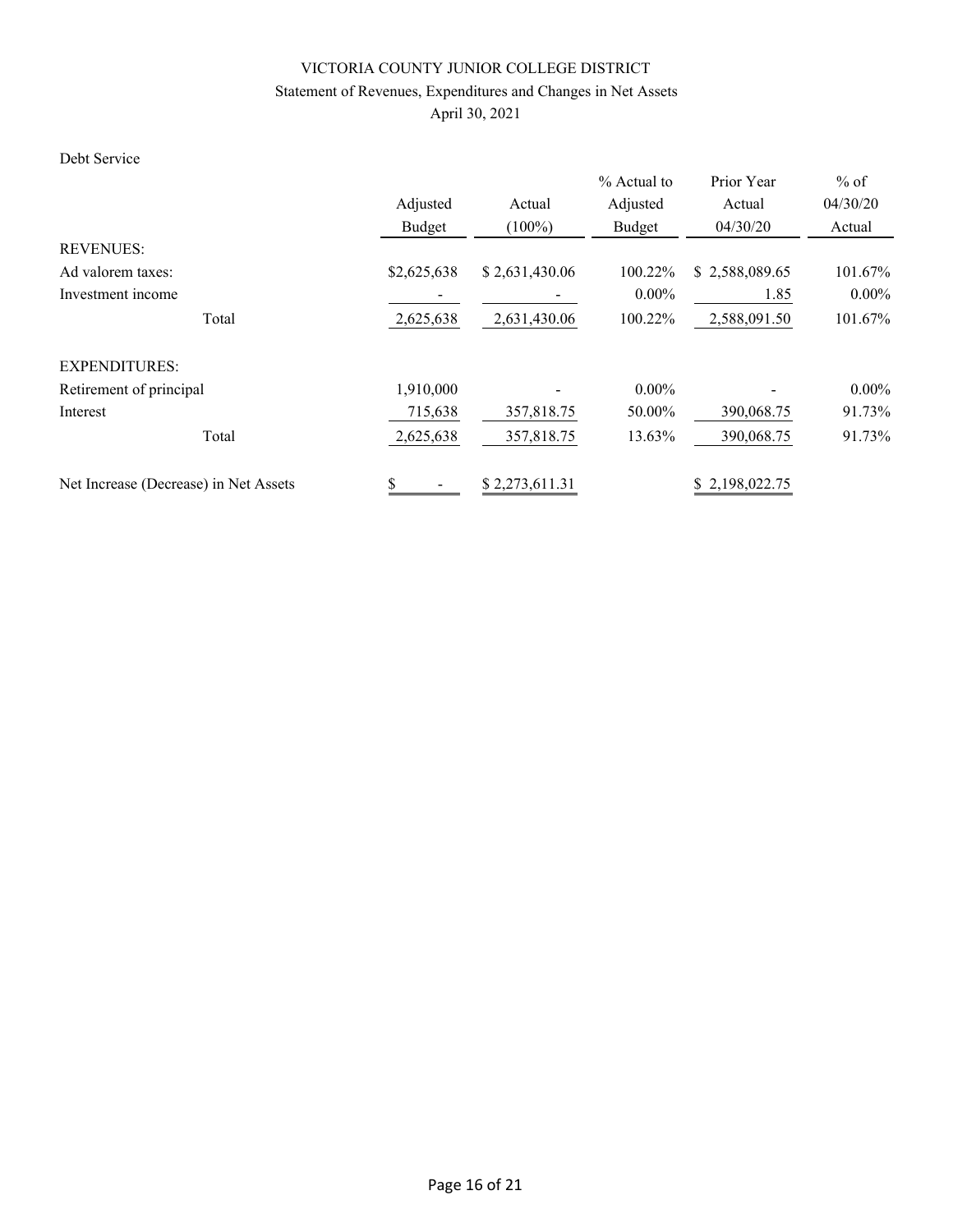## Statement of Revenues, Expenditures and Changes in Net Assets

April 30, 2021

### Debt Service

|                                       |             |                         | % Actual to | Prior Year     | $%$ of   |
|---------------------------------------|-------------|-------------------------|-------------|----------------|----------|
|                                       | Adjusted    | Actual                  | Adjusted    | Actual         | 04/30/20 |
|                                       | Budget      | $(100\%)$               | Budget      | 04/30/20       | Actual   |
| <b>REVENUES:</b>                      |             |                         |             |                |          |
| Ad valorem taxes:                     | \$2,625,638 | \$2,631,430.06          | 100.22%     | \$2,588,089.65 | 101.67%  |
| Investment income                     |             |                         | $0.00\%$    | 1.85           | $0.00\%$ |
| Total                                 | 2,625,638   | 2,631,430.06<br>100.22% |             | 2,588,091.50   | 101.67%  |
| <b>EXPENDITURES:</b>                  |             |                         |             |                |          |
| Retirement of principal               | 1,910,000   |                         | $0.00\%$    |                | $0.00\%$ |
| Interest                              | 715,638     | 357,818.75              | 50.00%      | 390,068.75     | 91.73%   |
| Total                                 | 2,625,638   | 357,818.75              | 13.63%      | 390,068.75     | 91.73%   |
| Net Increase (Decrease) in Net Assets | \$          | \$2,273,611.31          |             | \$2,198,022.75 |          |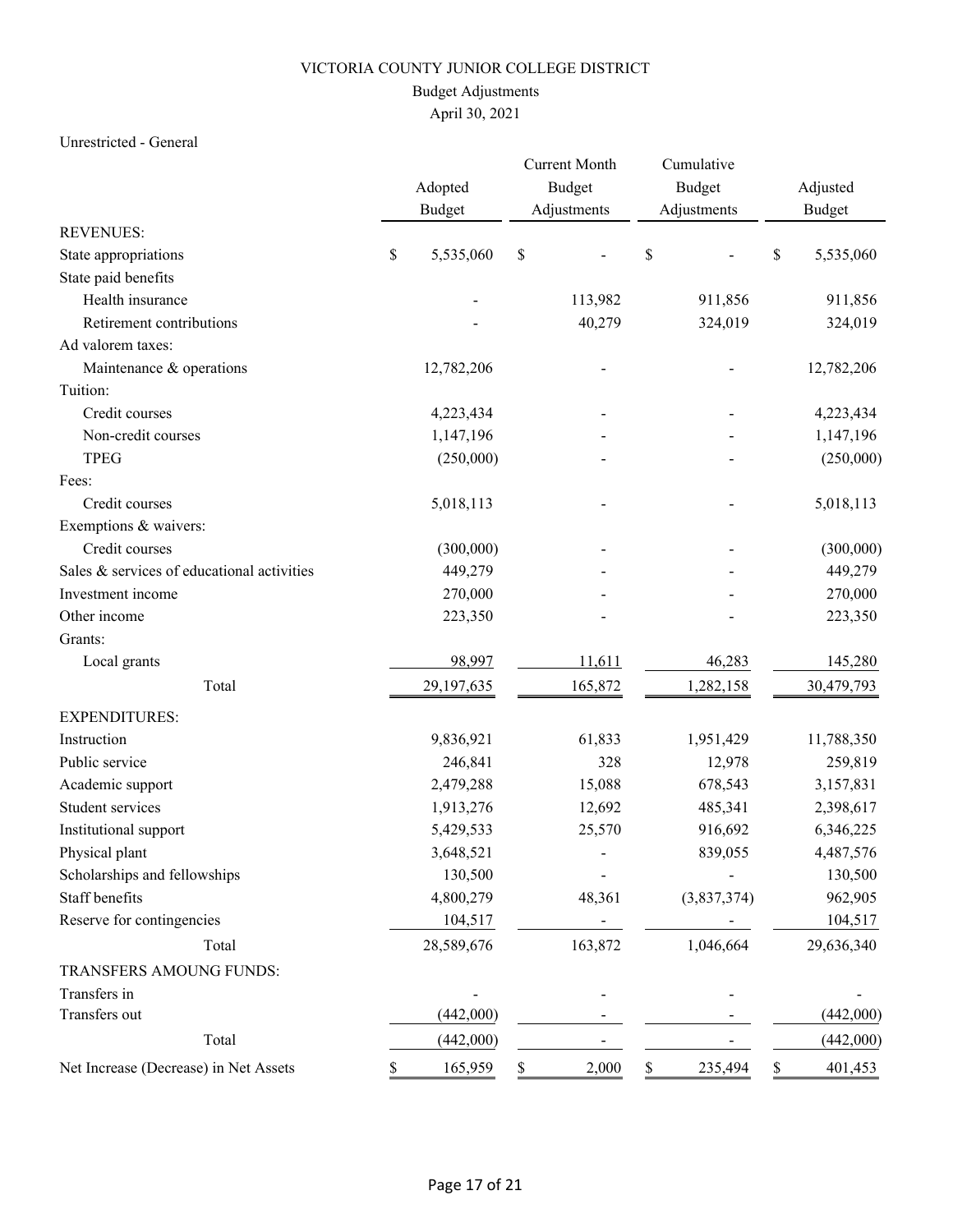## Budget Adjustments

# April 30, 2021

### Unrestricted - General

|                                            |    | Adopted<br><b>Budget</b> |             | <b>Current Month</b><br>Budget<br>Adjustments |     | Cumulative<br>Budget<br>Adjustments |    | Adjusted<br><b>Budget</b> |
|--------------------------------------------|----|--------------------------|-------------|-----------------------------------------------|-----|-------------------------------------|----|---------------------------|
| <b>REVENUES:</b>                           |    |                          |             |                                               |     |                                     |    |                           |
| State appropriations                       | \$ | 5,535,060                | $\mathbb S$ |                                               | \$  |                                     | \$ | 5,535,060                 |
| State paid benefits                        |    |                          |             |                                               |     |                                     |    |                           |
| Health insurance                           |    |                          |             | 113,982                                       |     | 911,856                             |    | 911,856                   |
| Retirement contributions                   |    |                          |             | 40,279                                        |     | 324,019                             |    | 324,019                   |
| Ad valorem taxes:                          |    |                          |             |                                               |     |                                     |    |                           |
| Maintenance & operations                   |    | 12,782,206               |             |                                               |     |                                     |    | 12,782,206                |
| Tuition:                                   |    |                          |             |                                               |     |                                     |    |                           |
| Credit courses                             |    | 4,223,434                |             |                                               |     |                                     |    | 4,223,434                 |
| Non-credit courses                         |    | 1,147,196                |             |                                               |     |                                     |    | 1,147,196                 |
| <b>TPEG</b>                                |    | (250,000)                |             |                                               |     |                                     |    | (250,000)                 |
| Fees:                                      |    |                          |             |                                               |     |                                     |    |                           |
| Credit courses                             |    | 5,018,113                |             |                                               |     |                                     |    | 5,018,113                 |
| Exemptions & waivers:                      |    |                          |             |                                               |     |                                     |    |                           |
| Credit courses                             |    | (300,000)                |             |                                               |     |                                     |    | (300,000)                 |
| Sales & services of educational activities |    | 449,279                  |             |                                               |     |                                     |    | 449,279                   |
| Investment income                          |    | 270,000                  |             |                                               |     |                                     |    | 270,000                   |
| Other income                               |    | 223,350                  |             |                                               |     |                                     |    | 223,350                   |
| Grants:                                    |    |                          |             |                                               |     |                                     |    |                           |
| Local grants                               |    | 98,997                   |             | 11,611                                        |     | 46,283                              |    | 145,280                   |
| Total                                      |    | 29,197,635               |             | 165,872                                       |     | 1,282,158                           |    | 30,479,793                |
| <b>EXPENDITURES:</b>                       |    |                          |             |                                               |     |                                     |    |                           |
| Instruction                                |    | 9,836,921                |             | 61,833                                        |     | 1,951,429                           |    | 11,788,350                |
| Public service                             |    | 246,841                  |             | 328                                           |     | 12,978                              |    | 259,819                   |
| Academic support                           |    | 2,479,288                |             | 15,088                                        |     | 678,543                             |    | 3,157,831                 |
| Student services                           |    | 1,913,276                |             | 12,692                                        |     | 485,341                             |    | 2,398,617                 |
| Institutional support                      |    | 5,429,533                |             | 25,570                                        |     | 916,692                             |    | 6,346,225                 |
| Physical plant                             |    | 3,648,521                |             |                                               |     | 839,055                             |    | 4,487,576                 |
| Scholarships and fellowships               |    | 130,500                  |             |                                               |     |                                     |    | 130,500                   |
| Staff benefits                             |    | 4,800,279                |             | 48,361                                        |     | (3,837,374)                         |    | 962,905                   |
| Reserve for contingencies                  |    | 104,517                  |             |                                               |     |                                     |    | 104,517                   |
| Total                                      |    | 28,589,676               |             | 163,872                                       |     | 1,046,664                           |    | 29,636,340                |
| TRANSFERS AMOUNG FUNDS:                    |    |                          |             |                                               |     |                                     |    |                           |
| Transfers in                               |    |                          |             |                                               |     |                                     |    |                           |
| Transfers out                              |    | (442,000)                |             |                                               |     |                                     |    | (442,000)                 |
| Total                                      |    | (442,000)                |             |                                               |     |                                     |    | (442,000)                 |
| Net Increase (Decrease) in Net Assets      |    | 165,959                  | \$          | 2,000                                         | \$. | 235,494                             | S. | 401,453                   |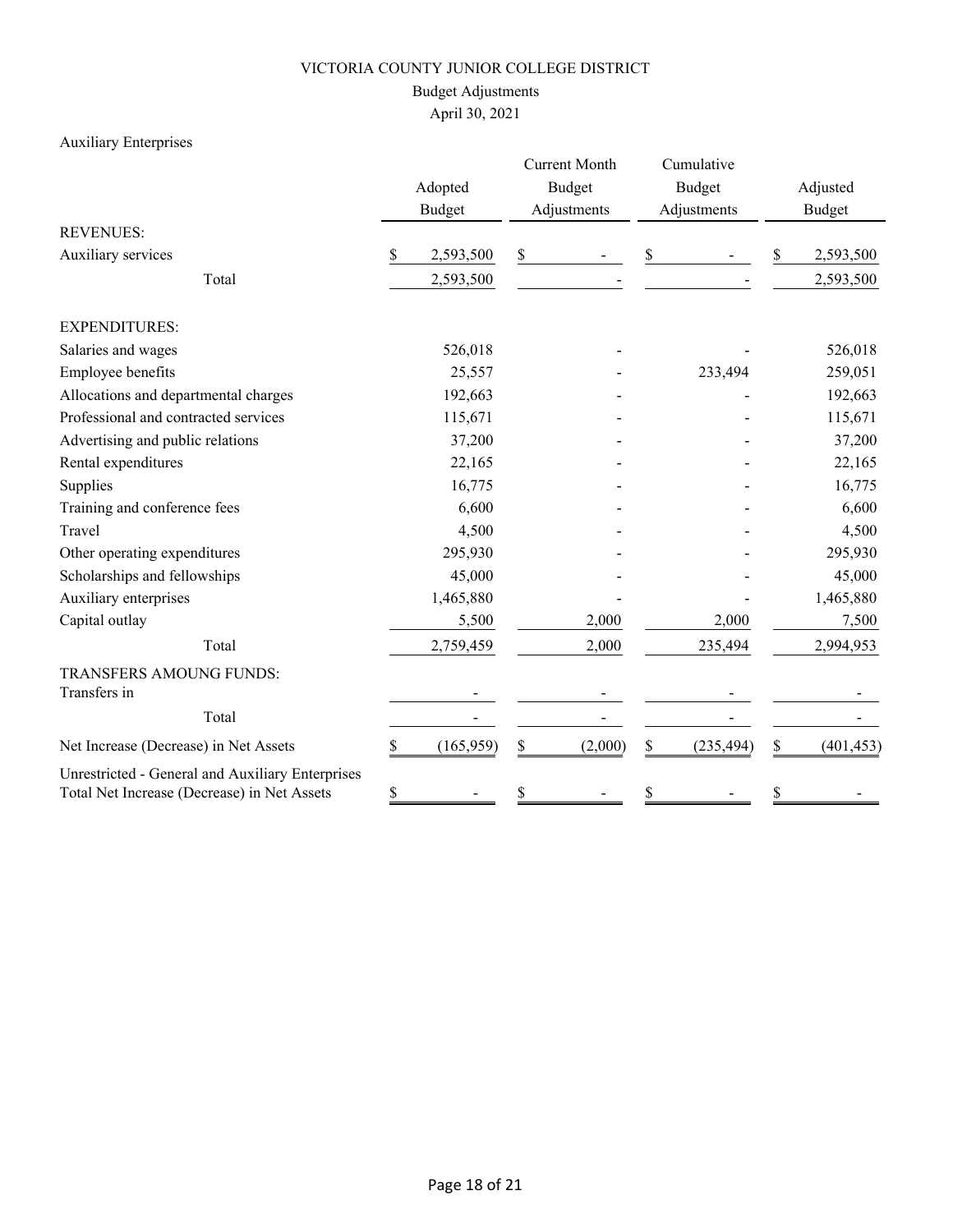## Budget Adjustments

# April 30, 2021

## Auxiliary Enterprises

|                                                                                                 |    | Adopted<br><b>Budget</b> |    | <b>Current Month</b><br><b>Budget</b><br>Adjustments |    | Cumulative<br><b>Budget</b><br>Adjustments |    | Adjusted<br><b>Budget</b> |
|-------------------------------------------------------------------------------------------------|----|--------------------------|----|------------------------------------------------------|----|--------------------------------------------|----|---------------------------|
| <b>REVENUES:</b>                                                                                |    |                          |    |                                                      |    |                                            |    |                           |
| Auxiliary services                                                                              | \$ | 2,593,500                | \$ |                                                      | \$ |                                            | \$ | 2,593,500                 |
| Total                                                                                           |    | 2,593,500                |    |                                                      |    |                                            |    | 2,593,500                 |
| <b>EXPENDITURES:</b>                                                                            |    |                          |    |                                                      |    |                                            |    |                           |
| Salaries and wages                                                                              |    | 526,018                  |    |                                                      |    |                                            |    | 526,018                   |
| Employee benefits                                                                               |    | 25,557                   |    |                                                      |    | 233,494                                    |    | 259,051                   |
| Allocations and departmental charges                                                            |    | 192,663                  |    |                                                      |    |                                            |    | 192,663                   |
| Professional and contracted services                                                            |    | 115,671                  |    |                                                      |    |                                            |    | 115,671                   |
| Advertising and public relations                                                                |    | 37,200                   |    |                                                      |    |                                            |    | 37,200                    |
| Rental expenditures                                                                             |    | 22,165                   |    |                                                      |    |                                            |    | 22,165                    |
| Supplies                                                                                        |    | 16,775                   |    |                                                      |    |                                            |    | 16,775                    |
| Training and conference fees                                                                    |    | 6,600                    |    |                                                      |    |                                            |    | 6,600                     |
| Travel                                                                                          |    | 4,500                    |    |                                                      |    |                                            |    | 4,500                     |
| Other operating expenditures                                                                    |    | 295,930                  |    |                                                      |    |                                            |    | 295,930                   |
| Scholarships and fellowships                                                                    |    | 45,000                   |    |                                                      |    |                                            |    | 45,000                    |
| Auxiliary enterprises                                                                           |    | 1,465,880                |    |                                                      |    |                                            |    | 1,465,880                 |
| Capital outlay                                                                                  |    | 5,500                    |    | 2,000                                                |    | 2,000                                      |    | 7,500                     |
| Total                                                                                           |    | 2,759,459                |    | 2,000                                                |    | 235,494                                    |    | 2,994,953                 |
| TRANSFERS AMOUNG FUNDS:                                                                         |    |                          |    |                                                      |    |                                            |    |                           |
| Transfers in                                                                                    |    |                          |    |                                                      |    |                                            |    |                           |
| Total                                                                                           |    |                          |    |                                                      |    |                                            |    |                           |
| Net Increase (Decrease) in Net Assets                                                           | \$ | (165, 959)               | \$ | (2,000)                                              | \$ | (235, 494)                                 | \$ | (401, 453)                |
| Unrestricted - General and Auxiliary Enterprises<br>Total Net Increase (Decrease) in Net Assets | \$ |                          | \$ |                                                      | \$ |                                            | \$ |                           |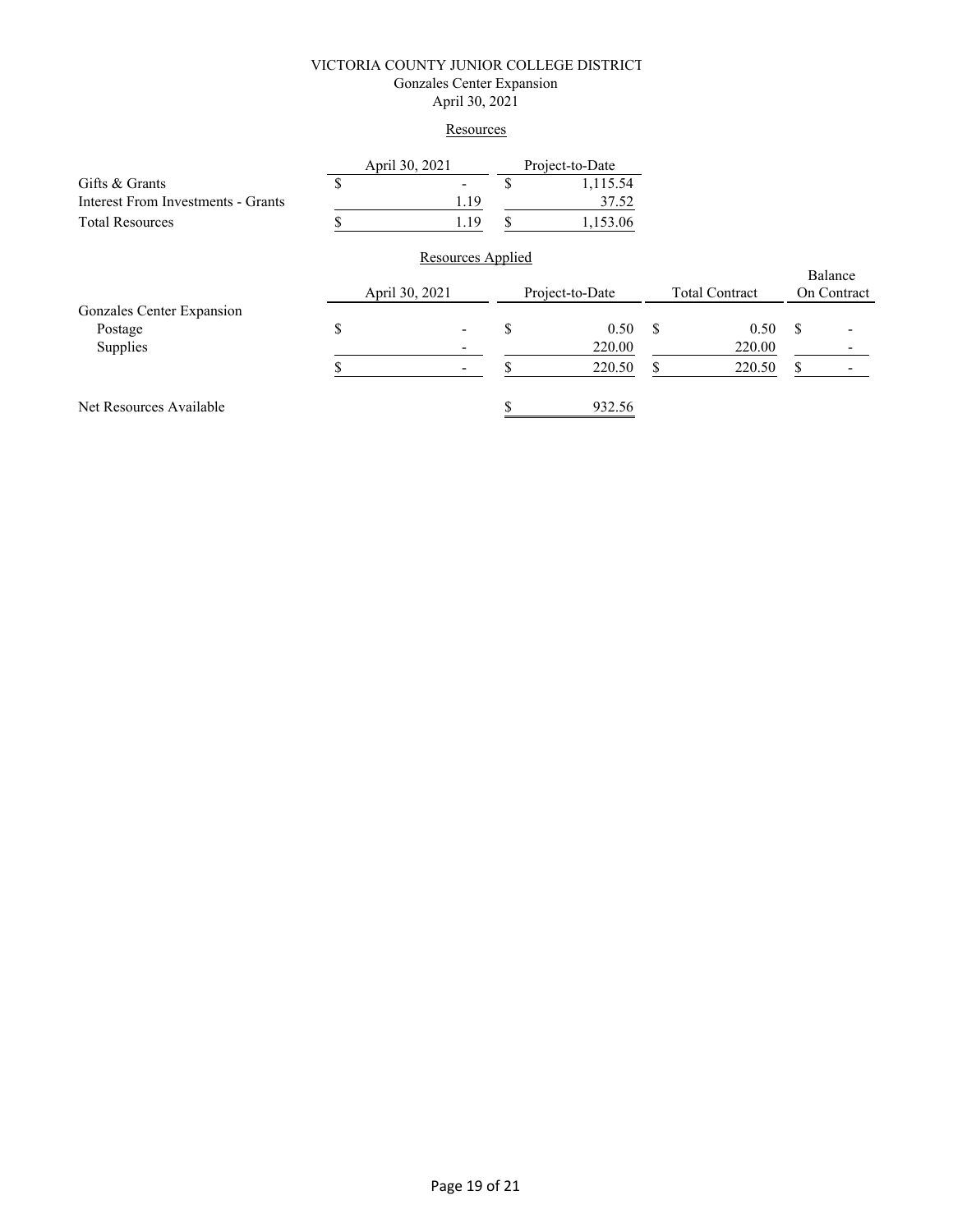#### VICTORIA COUNTY JUNIOR COLLEGE DISTRICT Gonzales Center Expansion April 30, 2021

#### **Resources**

|                                    | April 30, 2021 |                   |                 | Project-to-Date |                       |        |               |  |
|------------------------------------|----------------|-------------------|-----------------|-----------------|-----------------------|--------|---------------|--|
| Gifts & Grants                     |                |                   | S               | 1,115.54        |                       |        |               |  |
| Interest From Investments - Grants |                | 1.19              |                 | 37.52           |                       |        |               |  |
| <b>Total Resources</b>             |                | 1.19              | S               | 1,153.06        |                       |        |               |  |
|                                    |                | Resources Applied |                 |                 |                       |        |               |  |
|                                    |                |                   |                 |                 |                       |        | Balance       |  |
|                                    | April 30, 2021 |                   | Project-to-Date |                 | <b>Total Contract</b> |        | On Contract   |  |
| Gonzales Center Expansion          |                |                   |                 |                 |                       |        |               |  |
| Postage                            | \$             |                   | \$              | 0.50            | S                     | 0.50   | <sup>\$</sup> |  |
| Supplies                           |                |                   |                 | 220.00          |                       | 220.00 |               |  |
|                                    |                |                   |                 | 220.50          | S                     | 220.50 | S             |  |
| Net Resources Available            |                |                   |                 | 932.56          |                       |        |               |  |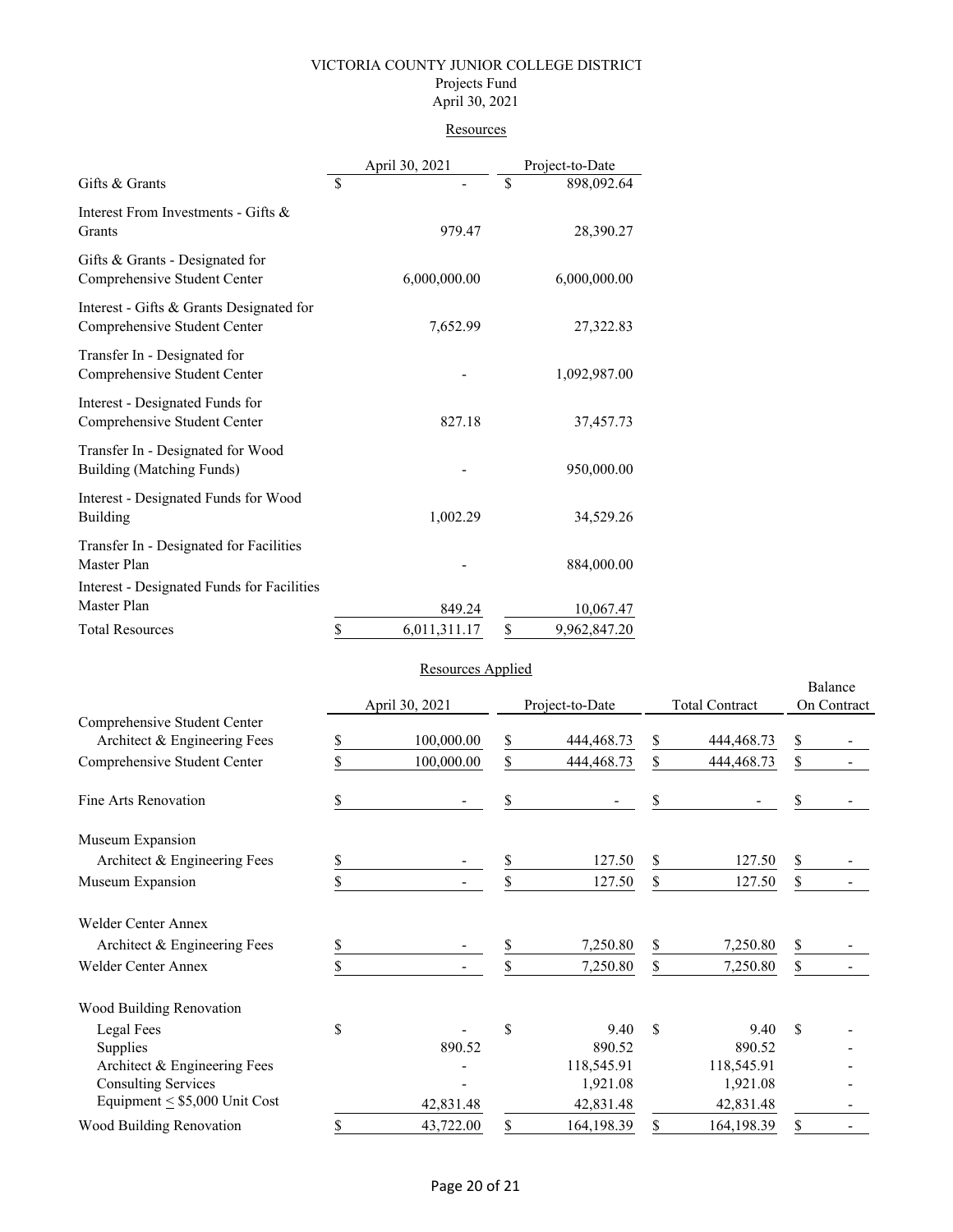#### VICTORIA COUNTY JUNIOR COLLEGE DISTRICT Projects Fund April 30, 2021

#### **Resources**

|                                                                          |                          | April 30, 2021 | Project-to-Date |              |
|--------------------------------------------------------------------------|--------------------------|----------------|-----------------|--------------|
| Gifts & Grants                                                           | $\overline{\mathcal{S}}$ |                | $\mathbf S$     | 898,092.64   |
| Interest From Investments - Gifts &<br>Grants                            |                          | 979.47         |                 | 28,390.27    |
| Gifts & Grants - Designated for<br>Comprehensive Student Center          |                          | 6,000,000.00   |                 | 6,000,000.00 |
| Interest - Gifts & Grants Designated for<br>Comprehensive Student Center |                          | 7,652.99       |                 | 27,322.83    |
| Transfer In - Designated for<br>Comprehensive Student Center             |                          |                |                 | 1,092,987.00 |
| Interest - Designated Funds for<br>Comprehensive Student Center          |                          | 827.18         |                 | 37,457.73    |
| Transfer In - Designated for Wood<br>Building (Matching Funds)           |                          |                |                 | 950,000.00   |
| Interest - Designated Funds for Wood<br>Building                         |                          | 1,002.29       |                 | 34,529.26    |
| Transfer In - Designated for Facilities<br>Master Plan                   |                          |                |                 | 884,000.00   |
| Interest - Designated Funds for Facilities<br>Master Plan                |                          | 849.24         |                 | 10,067.47    |
| <b>Total Resources</b>                                                   | \$                       | 6,011,311.17   | \$              | 9,962,847.20 |

## Resources Applied

|                                                              |    |                |    |                 | Balance |                       |    |             |  |
|--------------------------------------------------------------|----|----------------|----|-----------------|---------|-----------------------|----|-------------|--|
|                                                              |    | April 30, 2021 |    | Project-to-Date |         | <b>Total Contract</b> |    | On Contract |  |
| Comprehensive Student Center<br>Architect & Engineering Fees | S  | 100,000.00     | \$ | 444, 468. 73    | S       | 444, 468. 73          | \$ |             |  |
| Comprehensive Student Center                                 | S  | 100,000.00     | \$ | 444, 468. 73    | \$      | 444, 468. 73          | \$ |             |  |
| Fine Arts Renovation                                         | S  |                | \$ |                 | \$      |                       | \$ |             |  |
| Museum Expansion                                             |    |                |    |                 |         |                       |    |             |  |
| Architect & Engineering Fees                                 | \$ |                | \$ | 127.50          | \$      | 127.50                | \$ |             |  |
| Museum Expansion                                             | \$ |                | \$ | 127.50          | \$      | 127.50                | \$ |             |  |
| <b>Welder Center Annex</b>                                   |    |                |    |                 |         |                       |    |             |  |
| Architect & Engineering Fees                                 |    |                |    | 7,250.80        | \$      | 7,250.80              | \$ |             |  |
| <b>Welder Center Annex</b>                                   |    |                | \$ | 7,250.80        | \$      | 7,250.80              | \$ |             |  |
| Wood Building Renovation                                     |    |                |    |                 |         |                       |    |             |  |
| Legal Fees                                                   | \$ |                | \$ | 9.40            | \$      | 9.40                  | \$ |             |  |
| Supplies                                                     |    | 890.52         |    | 890.52          |         | 890.52                |    |             |  |
| Architect & Engineering Fees                                 |    |                |    | 118,545.91      |         | 118,545.91            |    |             |  |
| <b>Consulting Services</b>                                   |    |                |    | 1,921.08        |         | 1,921.08              |    |             |  |
| Equipment $\leq$ \$5,000 Unit Cost                           |    | 42,831.48      |    | 42,831.48       |         | 42,831.48             |    |             |  |
| Wood Building Renovation                                     | \$ | 43,722.00      | \$ | 164,198.39      | \$      | 164,198.39            | \$ |             |  |